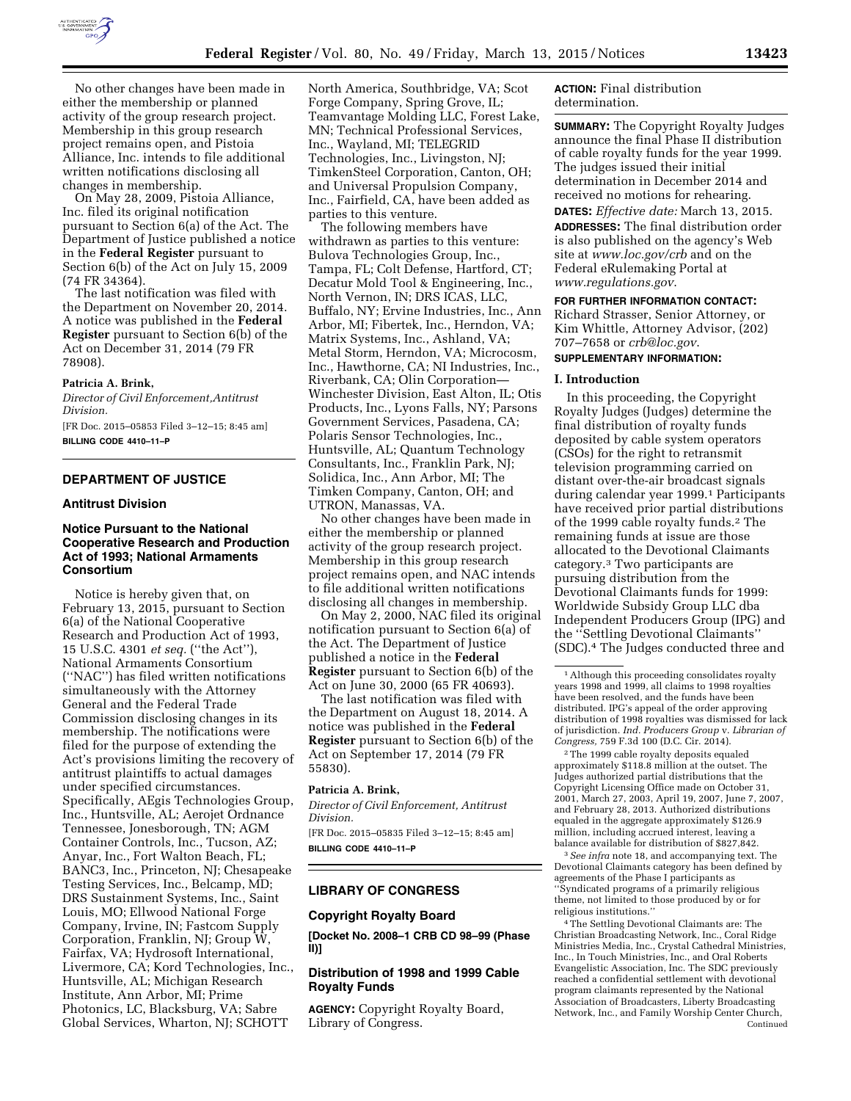

No other changes have been made in either the membership or planned activity of the group research project. Membership in this group research project remains open, and Pistoia Alliance, Inc. intends to file additional written notifications disclosing all changes in membership.

On May 28, 2009, Pistoia Alliance, Inc. filed its original notification pursuant to Section 6(a) of the Act. The Department of Justice published a notice in the **Federal Register** pursuant to Section 6(b) of the Act on July 15, 2009 (74 FR 34364).

The last notification was filed with the Department on November 20, 2014. A notice was published in the **Federal Register** pursuant to Section 6(b) of the Act on December 31, 2014 (79 FR 78908).

## **Patricia A. Brink,**

*Director of Civil Enforcement,Antitrust Division.* 

[FR Doc. 2015–05853 Filed 3–12–15; 8:45 am] **BILLING CODE 4410–11–P** 

## **DEPARTMENT OF JUSTICE**

## **Antitrust Division**

# **Notice Pursuant to the National Cooperative Research and Production Act of 1993; National Armaments Consortium**

Notice is hereby given that, on February 13, 2015, pursuant to Section 6(a) of the National Cooperative Research and Production Act of 1993, 15 U.S.C. 4301 *et seq.* (''the Act''), National Armaments Consortium (''NAC'') has filed written notifications simultaneously with the Attorney General and the Federal Trade Commission disclosing changes in its membership. The notifications were filed for the purpose of extending the Act's provisions limiting the recovery of antitrust plaintiffs to actual damages under specified circumstances. Specifically, AEgis Technologies Group, Inc., Huntsville, AL; Aerojet Ordnance Tennessee, Jonesborough, TN; AGM Container Controls, Inc., Tucson, AZ; Anyar, Inc., Fort Walton Beach, FL; BANC3, Inc., Princeton, NJ; Chesapeake Testing Services, Inc., Belcamp, MD; DRS Sustainment Systems, Inc., Saint Louis, MO; Ellwood National Forge Company, Irvine, IN; Fastcom Supply Corporation, Franklin, NJ; Group W, Fairfax, VA; Hydrosoft International, Livermore, CA; Kord Technologies, Inc., Huntsville, AL; Michigan Research Institute, Ann Arbor, MI; Prime Photonics, LC, Blacksburg, VA; Sabre Global Services, Wharton, NJ; SCHOTT

North America, Southbridge, VA; Scot Forge Company, Spring Grove, IL; Teamvantage Molding LLC, Forest Lake, MN; Technical Professional Services, Inc., Wayland, MI; TELEGRID Technologies, Inc., Livingston, NJ; TimkenSteel Corporation, Canton, OH; and Universal Propulsion Company, Inc., Fairfield, CA, have been added as parties to this venture.

The following members have withdrawn as parties to this venture: Bulova Technologies Group, Inc., Tampa, FL; Colt Defense, Hartford, CT; Decatur Mold Tool & Engineering, Inc., North Vernon, IN; DRS ICAS, LLC, Buffalo, NY; Ervine Industries, Inc., Ann Arbor, MI; Fibertek, Inc., Herndon, VA; Matrix Systems, Inc., Ashland, VA; Metal Storm, Herndon, VA; Microcosm, Inc., Hawthorne, CA; NI Industries, Inc., Riverbank, CA; Olin Corporation— Winchester Division, East Alton, IL; Otis Products, Inc., Lyons Falls, NY; Parsons Government Services, Pasadena, CA; Polaris Sensor Technologies, Inc., Huntsville, AL; Quantum Technology Consultants, Inc., Franklin Park, NJ; Solidica, Inc., Ann Arbor, MI; The Timken Company, Canton, OH; and UTRON, Manassas, VA.

No other changes have been made in either the membership or planned activity of the group research project. Membership in this group research project remains open, and NAC intends to file additional written notifications disclosing all changes in membership.

On May 2, 2000, NAC filed its original notification pursuant to Section 6(a) of the Act. The Department of Justice published a notice in the **Federal Register** pursuant to Section 6(b) of the Act on June 30, 2000 (65 FR 40693).

The last notification was filed with the Department on August 18, 2014. A notice was published in the **Federal Register** pursuant to Section 6(b) of the Act on September 17, 2014 (79 FR 55830).

### **Patricia A. Brink,**

*Director of Civil Enforcement, Antitrust Division.* 

[FR Doc. 2015–05835 Filed 3–12–15; 8:45 am] **BILLING CODE 4410–11–P** 

### **LIBRARY OF CONGRESS**

### **Copyright Royalty Board**

**[Docket No. 2008–1 CRB CD 98–99 (Phase II)]** 

## **Distribution of 1998 and 1999 Cable Royalty Funds**

**AGENCY:** Copyright Royalty Board, Library of Congress.

**ACTION:** Final distribution determination.

**SUMMARY:** The Copyright Royalty Judges announce the final Phase II distribution of cable royalty funds for the year 1999. The judges issued their initial determination in December 2014 and received no motions for rehearing.

**DATES:** *Effective date:* March 13, 2015. **ADDRESSES:** The final distribution order is also published on the agency's Web site at *[www.loc.gov/crb](http://www.loc.gov/crb)* and on the Federal eRulemaking Portal at *[www.regulations.gov](http://www.regulations.gov)*.

#### **FOR FURTHER INFORMATION CONTACT:**

Richard Strasser, Senior Attorney, or Kim Whittle, Attorney Advisor, (202) 707–7658 or *[crb@loc.gov](mailto:crb@loc.gov)*.

## **SUPPLEMENTARY INFORMATION:**

### **I. Introduction**

In this proceeding, the Copyright Royalty Judges (Judges) determine the final distribution of royalty funds deposited by cable system operators (CSOs) for the right to retransmit television programming carried on distant over-the-air broadcast signals during calendar year 1999.1 Participants have received prior partial distributions of the 1999 cable royalty funds.2 The remaining funds at issue are those allocated to the Devotional Claimants category.3 Two participants are pursuing distribution from the Devotional Claimants funds for 1999: Worldwide Subsidy Group LLC dba Independent Producers Group (IPG) and the ''Settling Devotional Claimants'' (SDC).4 The Judges conducted three and

2The 1999 cable royalty deposits equaled approximately \$118.8 million at the outset. The Judges authorized partial distributions that the Copyright Licensing Office made on October 31, 2001, March 27, 2003, April 19, 2007, June 7, 2007, and February 28, 2013. Authorized distributions equaled in the aggregate approximately \$126.9 million, including accrued interest, leaving a balance available for distribution of \$827,842.

3*See infra* note 18, and accompanying text. The Devotional Claimants category has been defined by agreements of the Phase I participants as ''Syndicated programs of a primarily religious theme, not limited to those produced by or for religious institutions.''

4The Settling Devotional Claimants are: The Christian Broadcasting Network, Inc., Coral Ridge Ministries Media, Inc., Crystal Cathedral Ministries, Inc., In Touch Ministries, Inc., and Oral Roberts Evangelistic Association, Inc. The SDC previously reached a confidential settlement with devotional program claimants represented by the National Association of Broadcasters, Liberty Broadcasting Network, Inc., and Family Worship Center Church, Continued

<sup>&</sup>lt;sup>1</sup> Although this proceeding consolidates royalty years 1998 and 1999, all claims to 1998 royalties have been resolved, and the funds have been distributed. IPG's appeal of the order approving distribution of 1998 royalties was dismissed for lack of jurisdiction. *Ind. Producers Group* v. *Librarian of Congress,* 759 F.3d 100 (D.C. Cir. 2014).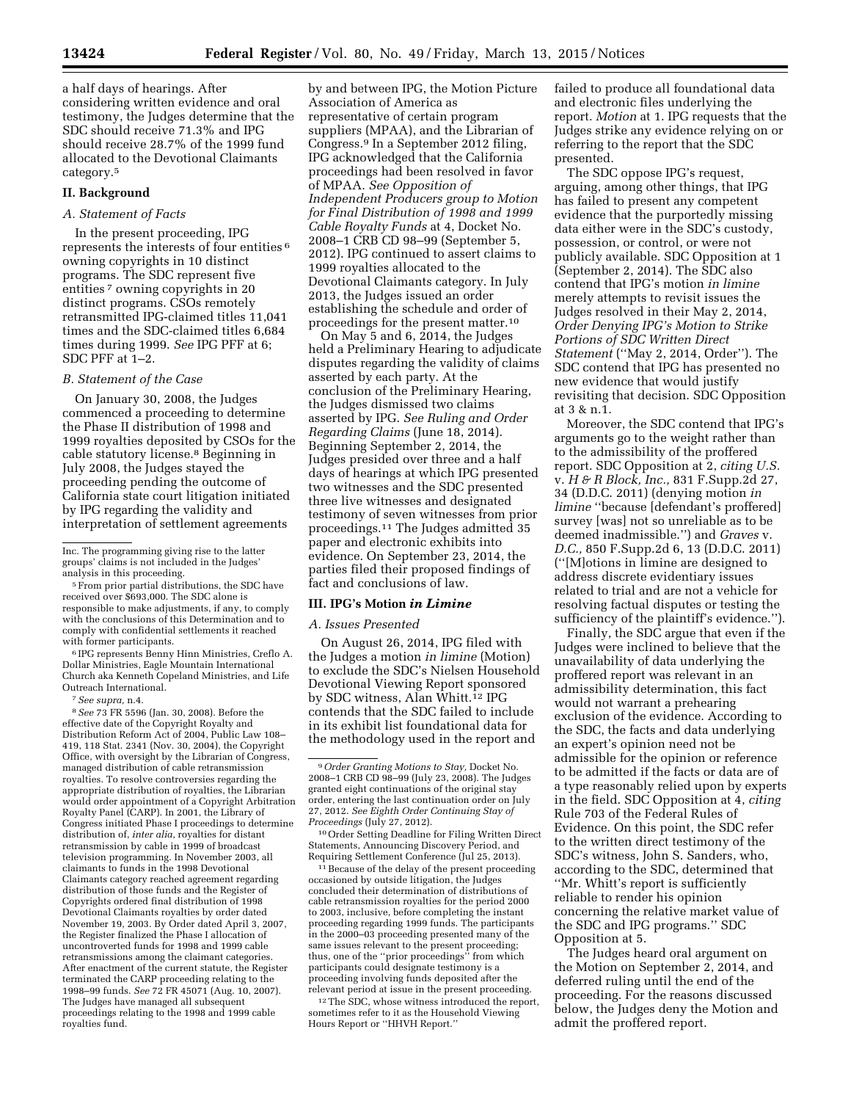a half days of hearings. After considering written evidence and oral testimony, the Judges determine that the SDC should receive 71.3% and IPG should receive 28.7% of the 1999 fund allocated to the Devotional Claimants category.5

## **II. Background**

# *A. Statement of Facts*

In the present proceeding, IPG represents the interests of four entities 6 owning copyrights in 10 distinct programs. The SDC represent five entities<sup>7</sup> owning copyrights in 20 distinct programs. CSOs remotely retransmitted IPG-claimed titles 11,041 times and the SDC-claimed titles 6,684 times during 1999. *See* IPG PFF at 6; SDC PFF at 1–2.

### *B. Statement of the Case*

On January 30, 2008, the Judges commenced a proceeding to determine the Phase II distribution of 1998 and 1999 royalties deposited by CSOs for the cable statutory license.8 Beginning in July 2008, the Judges stayed the proceeding pending the outcome of California state court litigation initiated by IPG regarding the validity and interpretation of settlement agreements

5From prior partial distributions, the SDC have received over \$693,000. The SDC alone is responsible to make adjustments, if any, to comply with the conclusions of this Determination and to comply with confidential settlements it reached with former participants.

6 IPG represents Benny Hinn Ministries, Creflo A. Dollar Ministries, Eagle Mountain International Church aka Kenneth Copeland Ministries, and Life Outreach International.

7*See supra,* n.4.

8*See* 73 FR 5596 (Jan. 30, 2008). Before the effective date of the Copyright Royalty and Distribution Reform Act of 2004, Public Law 108– 419, 118 Stat. 2341 (Nov. 30, 2004), the Copyright Office, with oversight by the Librarian of Congress, managed distribution of cable retransmission royalties. To resolve controversies regarding the appropriate distribution of royalties, the Librarian would order appointment of a Copyright Arbitration Royalty Panel (CARP). In 2001, the Library of Congress initiated Phase I proceedings to determine distribution of, *inter alia,* royalties for distant retransmission by cable in 1999 of broadcast television programming. In November 2003, all claimants to funds in the 1998 Devotional Claimants category reached agreement regarding distribution of those funds and the Register of Copyrights ordered final distribution of 1998 Devotional Claimants royalties by order dated November 19, 2003. By Order dated April 3, 2007, the Register finalized the Phase I allocation of uncontroverted funds for 1998 and 1999 cable retransmissions among the claimant categories. After enactment of the current statute, the Register terminated the CARP proceeding relating to the 1998–99 funds. *See* 72 FR 45071 (Aug. 10, 2007). The Judges have managed all subsequent proceedings relating to the 1998 and 1999 cable royalties fund.

by and between IPG, the Motion Picture Association of America as representative of certain program suppliers (MPAA), and the Librarian of Congress.9 In a September 2012 filing, IPG acknowledged that the California proceedings had been resolved in favor of MPAA. *See Opposition of Independent Producers group to Motion for Final Distribution of 1998 and 1999 Cable Royalty Funds* at 4, Docket No. 2008–1 CRB CD 98–99 (September 5, 2012). IPG continued to assert claims to 1999 royalties allocated to the Devotional Claimants category. In July 2013, the Judges issued an order establishing the schedule and order of proceedings for the present matter.10

On May 5 and 6, 2014, the Judges held a Preliminary Hearing to adjudicate disputes regarding the validity of claims asserted by each party. At the conclusion of the Preliminary Hearing, the Judges dismissed two claims asserted by IPG. *See Ruling and Order Regarding Claims* (June 18, 2014). Beginning September 2, 2014, the Judges presided over three and a half days of hearings at which IPG presented two witnesses and the SDC presented three live witnesses and designated testimony of seven witnesses from prior proceedings.11 The Judges admitted 35 paper and electronic exhibits into evidence. On September 23, 2014, the parties filed their proposed findings of fact and conclusions of law.

### **III. IPG's Motion** *in Limine*

#### *A. Issues Presented*

On August 26, 2014, IPG filed with the Judges a motion *in limine* (Motion) to exclude the SDC's Nielsen Household Devotional Viewing Report sponsored by SDC witness, Alan Whitt.<sup>12</sup> IPG contends that the SDC failed to include in its exhibit list foundational data for the methodology used in the report and

10Order Setting Deadline for Filing Written Direct Statements, Announcing Discovery Period, and Requiring Settlement Conference (Jul 25, 2013).

<sup>11</sup> Because of the delay of the present proceeding occasioned by outside litigation, the Judges concluded their determination of distributions of cable retransmission royalties for the period 2000 to 2003, inclusive, before completing the instant proceeding regarding 1999 funds. The participants in the 2000–03 proceeding presented many of the same issues relevant to the present proceeding; thus, one of the ''prior proceedings'' from which participants could designate testimony is a proceeding involving funds deposited after the relevant period at issue in the present proceeding.

<sup>12</sup>The SDC, whose witness introduced the report, sometimes refer to it as the Household Viewing Hours Report or ''HHVH Report.''

failed to produce all foundational data and electronic files underlying the report. *Motion* at 1. IPG requests that the Judges strike any evidence relying on or referring to the report that the SDC presented.

The SDC oppose IPG's request, arguing, among other things, that IPG has failed to present any competent evidence that the purportedly missing data either were in the SDC's custody, possession, or control, or were not publicly available. SDC Opposition at 1 (September 2, 2014). The SDC also contend that IPG's motion *in limine*  merely attempts to revisit issues the Judges resolved in their May 2, 2014, *Order Denying IPG's Motion to Strike Portions of SDC Written Direct Statement* (''May 2, 2014, Order''). The SDC contend that IPG has presented no new evidence that would justify revisiting that decision. SDC Opposition at 3 & n.1.

Moreover, the SDC contend that IPG's arguments go to the weight rather than to the admissibility of the proffered report. SDC Opposition at 2, *citing U.S.*  v. *H & R Block, Inc.,* 831 F.Supp.2d 27, 34 (D.D.C. 2011) (denying motion *in limine* ''because [defendant's proffered] survey [was] not so unreliable as to be deemed inadmissible.'') and *Graves* v. *D.C.,* 850 F.Supp.2d 6, 13 (D.D.C. 2011) (''[M]otions in limine are designed to address discrete evidentiary issues related to trial and are not a vehicle for resolving factual disputes or testing the sufficiency of the plaintiff's evidence.'').

Finally, the SDC argue that even if the Judges were inclined to believe that the unavailability of data underlying the proffered report was relevant in an admissibility determination, this fact would not warrant a prehearing exclusion of the evidence. According to the SDC, the facts and data underlying an expert's opinion need not be admissible for the opinion or reference to be admitted if the facts or data are of a type reasonably relied upon by experts in the field. SDC Opposition at 4, *citing*  Rule 703 of the Federal Rules of Evidence. On this point, the SDC refer to the written direct testimony of the SDC's witness, John S. Sanders, who, according to the SDC, determined that ''Mr. Whitt's report is sufficiently reliable to render his opinion concerning the relative market value of the SDC and IPG programs.'' SDC Opposition at 5.

The Judges heard oral argument on the Motion on September 2, 2014, and deferred ruling until the end of the proceeding. For the reasons discussed below, the Judges deny the Motion and admit the proffered report.

Inc. The programming giving rise to the latter groups' claims is not included in the Judges' analysis in this proceeding.

<sup>9</sup>*Order Granting Motions to Stay,* Docket No. 2008–1 CRB CD 98–99 (July 23, 2008). The Judges granted eight continuations of the original stay order, entering the last continuation order on July 27, 2012. *See Eighth Order Continuing Stay of Proceedings* (July 27, 2012).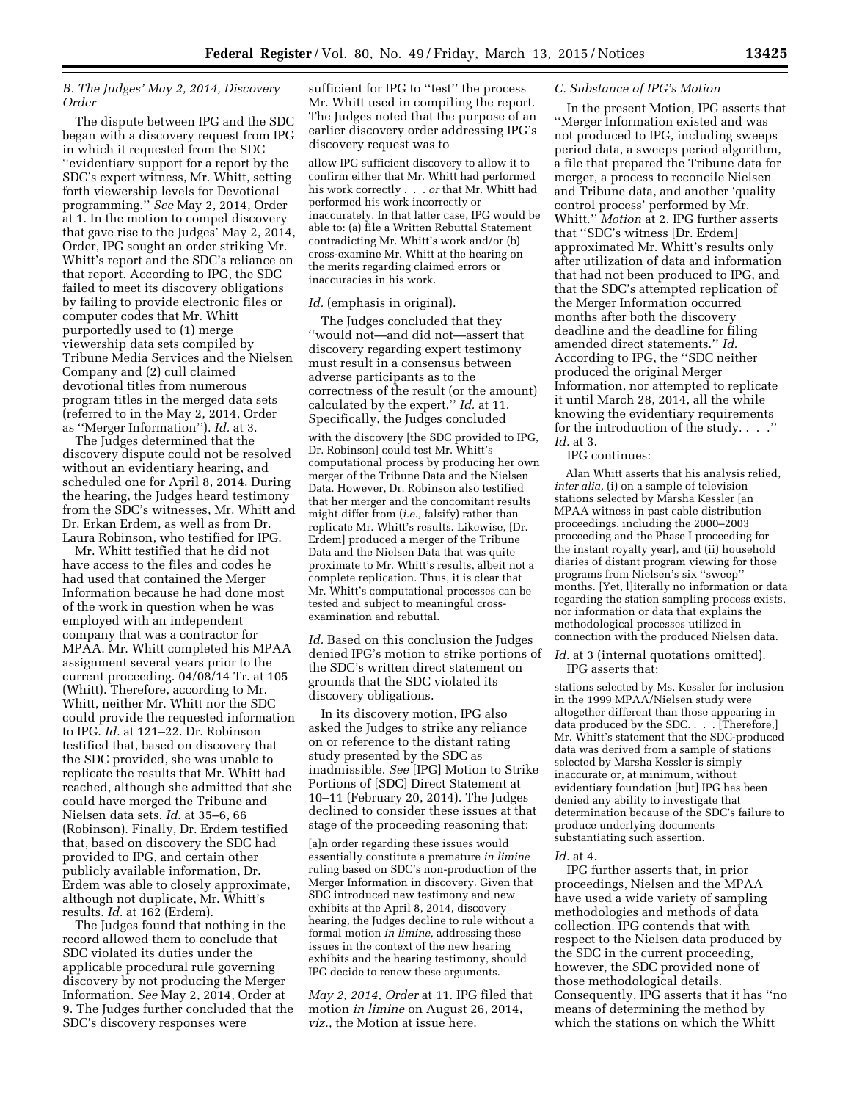## *B. The Judges' May 2, 2014, Discovery Order*

The dispute between IPG and the SDC began with a discovery request from IPG in which it requested from the SDC ''evidentiary support for a report by the SDC's expert witness, Mr. Whitt, setting forth viewership levels for Devotional programming.'' *See* May 2, 2014, Order at 1. In the motion to compel discovery that gave rise to the Judges' May 2, 2014, Order, IPG sought an order striking Mr. Whitt's report and the SDC's reliance on that report. According to IPG, the SDC failed to meet its discovery obligations by failing to provide electronic files or computer codes that Mr. Whitt purportedly used to (1) merge viewership data sets compiled by Tribune Media Services and the Nielsen Company and (2) cull claimed devotional titles from numerous program titles in the merged data sets (referred to in the May 2, 2014, Order as ''Merger Information''). *Id.* at 3.

The Judges determined that the discovery dispute could not be resolved without an evidentiary hearing, and scheduled one for April 8, 2014. During the hearing, the Judges heard testimony from the SDC's witnesses, Mr. Whitt and Dr. Erkan Erdem, as well as from Dr. Laura Robinson, who testified for IPG.

Mr. Whitt testified that he did not have access to the files and codes he had used that contained the Merger Information because he had done most of the work in question when he was employed with an independent company that was a contractor for MPAA. Mr. Whitt completed his MPAA assignment several years prior to the current proceeding. 04/08/14 Tr. at 105 (Whitt). Therefore, according to Mr. Whitt, neither Mr. Whitt nor the SDC could provide the requested information to IPG. *Id.* at 121–22. Dr. Robinson testified that, based on discovery that the SDC provided, she was unable to replicate the results that Mr. Whitt had reached, although she admitted that she could have merged the Tribune and Nielsen data sets. *Id.* at 35–6, 66 (Robinson). Finally, Dr. Erdem testified that, based on discovery the SDC had provided to IPG, and certain other publicly available information, Dr. Erdem was able to closely approximate, although not duplicate, Mr. Whitt's results. *Id.* at 162 (Erdem).

The Judges found that nothing in the record allowed them to conclude that SDC violated its duties under the applicable procedural rule governing discovery by not producing the Merger Information. *See* May 2, 2014, Order at 9. The Judges further concluded that the SDC's discovery responses were

sufficient for IPG to ''test'' the process Mr. Whitt used in compiling the report. The Judges noted that the purpose of an earlier discovery order addressing IPG's discovery request was to

allow IPG sufficient discovery to allow it to confirm either that Mr. Whitt had performed his work correctly . . . *or* that Mr. Whitt had performed his work incorrectly or inaccurately. In that latter case, IPG would be able to: (a) file a Written Rebuttal Statement contradicting Mr. Whitt's work and/or (b) cross-examine Mr. Whitt at the hearing on the merits regarding claimed errors or inaccuracies in his work.

## *Id.* (emphasis in original).

The Judges concluded that they ''would not—and did not—assert that discovery regarding expert testimony must result in a consensus between adverse participants as to the correctness of the result (or the amount) calculated by the expert.'' *Id.* at 11. Specifically, the Judges concluded

with the discovery [the SDC provided to IPG, Dr. Robinson] could test Mr. Whitt's computational process by producing her own merger of the Tribune Data and the Nielsen Data. However, Dr. Robinson also testified that her merger and the concomitant results might differ from (*i.e.,* falsify) rather than replicate Mr. Whitt's results. Likewise, [Dr. Erdem] produced a merger of the Tribune Data and the Nielsen Data that was quite proximate to Mr. Whitt's results, albeit not a complete replication. Thus, it is clear that Mr. Whitt's computational processes can be tested and subject to meaningful crossexamination and rebuttal.

*Id.* Based on this conclusion the Judges denied IPG's motion to strike portions of the SDC's written direct statement on grounds that the SDC violated its discovery obligations.

In its discovery motion, IPG also asked the Judges to strike any reliance on or reference to the distant rating study presented by the SDC as inadmissible. *See* [IPG] Motion to Strike Portions of [SDC] Direct Statement at 10–11 (February 20, 2014). The Judges declined to consider these issues at that stage of the proceeding reasoning that:

[a]n order regarding these issues would essentially constitute a premature *in limine*  ruling based on SDC's non-production of the Merger Information in discovery. Given that SDC introduced new testimony and new exhibits at the April 8, 2014, discovery hearing, the Judges decline to rule without a formal motion *in limine,* addressing these issues in the context of the new hearing exhibits and the hearing testimony, should IPG decide to renew these arguments.

*May 2, 2014, Order* at 11. IPG filed that motion *in limine* on August 26, 2014, *viz.,* the Motion at issue here.

### *C. Substance of IPG's Motion*

In the present Motion, IPG asserts that ''Merger Information existed and was not produced to IPG, including sweeps period data, a sweeps period algorithm, a file that prepared the Tribune data for merger, a process to reconcile Nielsen and Tribune data, and another 'quality control process' performed by Mr. Whitt.'' *Motion* at 2. IPG further asserts that ''SDC's witness [Dr. Erdem] approximated Mr. Whitt's results only after utilization of data and information that had not been produced to IPG, and that the SDC's attempted replication of the Merger Information occurred months after both the discovery deadline and the deadline for filing amended direct statements.'' *Id.*  According to IPG, the ''SDC neither produced the original Merger Information, nor attempted to replicate it until March 28, 2014, all the while knowing the evidentiary requirements for the introduction of the study. . . .'' *Id.* at 3.

IPG continues:

Alan Whitt asserts that his analysis relied, *inter alia,* (i) on a sample of television stations selected by Marsha Kessler [an MPAA witness in past cable distribution proceedings, including the 2000–2003 proceeding and the Phase I proceeding for the instant royalty year], and (ii) household diaries of distant program viewing for those programs from Nielsen's six ''sweep'' months. [Yet, l]iterally no information or data regarding the station sampling process exists, nor information or data that explains the methodological processes utilized in connection with the produced Nielsen data.

Id. at 3 (internal quotations omitted). IPG asserts that:

stations selected by Ms. Kessler for inclusion in the 1999 MPAA/Nielsen study were altogether different than those appearing in data produced by the SDC. . . . [Therefore,] Mr. Whitt's statement that the SDC-produced data was derived from a sample of stations selected by Marsha Kessler is simply inaccurate or, at minimum, without evidentiary foundation [but] IPG has been denied any ability to investigate that determination because of the SDC's failure to produce underlying documents substantiating such assertion.

## *Id.* at 4.

IPG further asserts that, in prior proceedings, Nielsen and the MPAA have used a wide variety of sampling methodologies and methods of data collection. IPG contends that with respect to the Nielsen data produced by the SDC in the current proceeding, however, the SDC provided none of those methodological details. Consequently, IPG asserts that it has ''no means of determining the method by which the stations on which the Whitt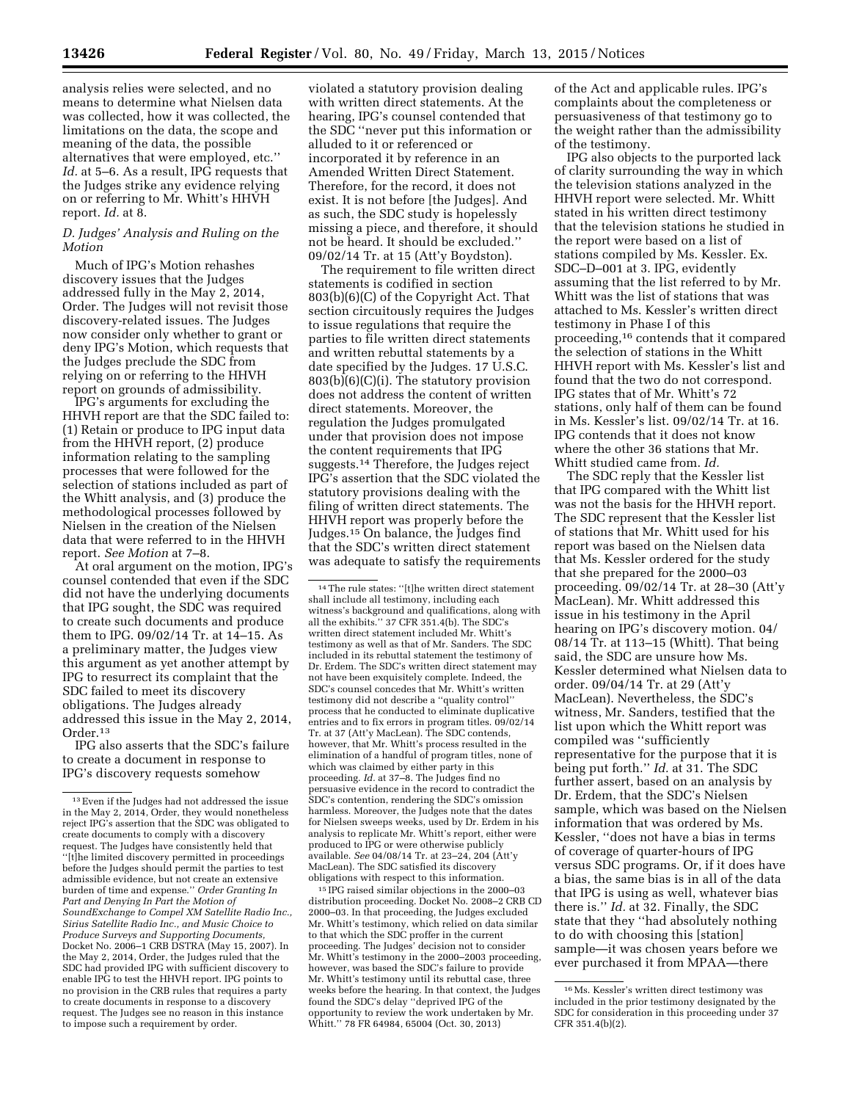analysis relies were selected, and no means to determine what Nielsen data was collected, how it was collected, the limitations on the data, the scope and meaning of the data, the possible alternatives that were employed, etc.'' *Id.* at 5–6. As a result, IPG requests that the Judges strike any evidence relying on or referring to Mr. Whitt's HHVH report. *Id.* at 8.

## *D. Judges' Analysis and Ruling on the Motion*

Much of IPG's Motion rehashes discovery issues that the Judges addressed fully in the May 2, 2014, Order. The Judges will not revisit those discovery-related issues. The Judges now consider only whether to grant or deny IPG's Motion, which requests that the Judges preclude the SDC from relying on or referring to the HHVH report on grounds of admissibility.

IPG's arguments for excluding the HHVH report are that the SDC failed to: (1) Retain or produce to IPG input data from the HHVH report, (2) produce information relating to the sampling processes that were followed for the selection of stations included as part of the Whitt analysis, and (3) produce the methodological processes followed by Nielsen in the creation of the Nielsen data that were referred to in the HHVH report. *See Motion* at 7–8.

At oral argument on the motion, IPG's counsel contended that even if the SDC did not have the underlying documents that IPG sought, the SDC was required to create such documents and produce them to IPG. 09/02/14 Tr. at 14–15. As a preliminary matter, the Judges view this argument as yet another attempt by IPG to resurrect its complaint that the SDC failed to meet its discovery obligations. The Judges already addressed this issue in the May 2, 2014, Order.13

IPG also asserts that the SDC's failure to create a document in response to IPG's discovery requests somehow

violated a statutory provision dealing with written direct statements. At the hearing, IPG's counsel contended that the SDC ''never put this information or alluded to it or referenced or incorporated it by reference in an Amended Written Direct Statement. Therefore, for the record, it does not exist. It is not before [the Judges]. And as such, the SDC study is hopelessly missing a piece, and therefore, it should not be heard. It should be excluded.'' 09/02/14 Tr. at 15 (Att'y Boydston).

The requirement to file written direct statements is codified in section 803(b)(6)(C) of the Copyright Act. That section circuitously requires the Judges to issue regulations that require the parties to file written direct statements and written rebuttal statements by a date specified by the Judges. 17 U.S.C. 803(b)(6)(C)(i). The statutory provision does not address the content of written direct statements. Moreover, the regulation the Judges promulgated under that provision does not impose the content requirements that IPG suggests.14 Therefore, the Judges reject IPG's assertion that the SDC violated the statutory provisions dealing with the filing of written direct statements. The HHVH report was properly before the Judges.15 On balance, the Judges find that the SDC's written direct statement was adequate to satisfy the requirements

14The rule states: ''[t]he written direct statement shall include all testimony, including each witness's background and qualifications, along with all the exhibits.'' 37 CFR 351.4(b). The SDC's written direct statement included Mr. Whitt's testimony as well as that of Mr. Sanders. The SDC included in its rebuttal statement the testimony of Dr. Erdem. The SDC's written direct statement may not have been exquisitely complete. Indeed, the SDC's counsel concedes that Mr. Whitt's written testimony did not describe a ''quality control'' process that he conducted to eliminate duplicative entries and to fix errors in program titles. 09/02/14 Tr. at 37 (Att'y MacLean). The SDC contends, however, that Mr. Whitt's process resulted in the elimination of a handful of program titles, none of which was claimed by either party in this proceeding. *Id.* at 37–8. The Judges find no persuasive evidence in the record to contradict the SDC's contention, rendering the SDC's omission harmless. Moreover, the Judges note that the dates for Nielsen sweeps weeks, used by Dr. Erdem in his analysis to replicate Mr. Whitt's report, either were produced to IPG or were otherwise publicly available. *See* 04/08/14 Tr. at 23–24, 204 (Att'y MacLean). The SDC satisfied its discovery obligations with respect to this information.

15 IPG raised similar objections in the 2000–03 distribution proceeding. Docket No. 2008–2 CRB CD 2000–03. In that proceeding, the Judges excluded Mr. Whitt's testimony, which relied on data similar to that which the SDC proffer in the current proceeding. The Judges' decision not to consider Mr. Whitt's testimony in the 2000–2003 proceeding, however, was based the SDC's failure to provide Mr. Whitt's testimony until its rebuttal case, three weeks before the hearing. In that context, the Judges found the SDC's delay ''deprived IPG of the opportunity to review the work undertaken by Mr. Whitt.'' 78 FR 64984, 65004 (Oct. 30, 2013)

of the Act and applicable rules. IPG's complaints about the completeness or persuasiveness of that testimony go to the weight rather than the admissibility of the testimony.

IPG also objects to the purported lack of clarity surrounding the way in which the television stations analyzed in the HHVH report were selected. Mr. Whitt stated in his written direct testimony that the television stations he studied in the report were based on a list of stations compiled by Ms. Kessler. Ex. SDC–D–001 at 3. IPG, evidently assuming that the list referred to by Mr. Whitt was the list of stations that was attached to Ms. Kessler's written direct testimony in Phase I of this proceeding,16 contends that it compared the selection of stations in the Whitt HHVH report with Ms. Kessler's list and found that the two do not correspond. IPG states that of Mr. Whitt's 72 stations, only half of them can be found in Ms. Kessler's list. 09/02/14 Tr. at 16. IPG contends that it does not know where the other 36 stations that Mr. Whitt studied came from. *Id.* 

The SDC reply that the Kessler list that IPG compared with the Whitt list was not the basis for the HHVH report. The SDC represent that the Kessler list of stations that Mr. Whitt used for his report was based on the Nielsen data that Ms. Kessler ordered for the study that she prepared for the 2000–03 proceeding. 09/02/14 Tr. at 28–30 (Att'y MacLean). Mr. Whitt addressed this issue in his testimony in the April hearing on IPG's discovery motion. 04/ 08/14 Tr. at 113–15 (Whitt). That being said, the SDC are unsure how Ms. Kessler determined what Nielsen data to order. 09/04/14 Tr. at 29 (Att'y MacLean). Nevertheless, the SDC's witness, Mr. Sanders, testified that the list upon which the Whitt report was compiled was ''sufficiently representative for the purpose that it is being put forth.'' *Id.* at 31. The SDC further assert, based on an analysis by Dr. Erdem, that the SDC's Nielsen sample, which was based on the Nielsen information that was ordered by Ms. Kessler, ''does not have a bias in terms of coverage of quarter-hours of IPG versus SDC programs. Or, if it does have a bias, the same bias is in all of the data that IPG is using as well, whatever bias there is.'' *Id.* at 32. Finally, the SDC state that they ''had absolutely nothing to do with choosing this [station] sample—it was chosen years before we ever purchased it from MPAA—there

 $^{\rm 13}\,$  Even if the Judges had not addressed the issue in the May 2, 2014, Order, they would nonetheless reject IPG's assertion that the SDC was obligated to create documents to comply with a discovery request. The Judges have consistently held that ''[t]he limited discovery permitted in proceedings before the Judges should permit the parties to test admissible evidence, but not create an extensive burden of time and expense.'' *Order Granting In Part and Denying In Part the Motion of SoundExchange to Compel XM Satellite Radio Inc., Sirius Satellite Radio Inc., and Music Choice to Produce Surveys and Supporting Documents,*  Docket No. 2006–1 CRB DSTRA (May 15, 2007). In the May 2, 2014, Order, the Judges ruled that the SDC had provided IPG with sufficient discovery to enable IPG to test the HHVH report. IPG points to no provision in the CRB rules that requires a party to create documents in response to a discovery request. The Judges see no reason in this instance to impose such a requirement by order.

<sup>16</sup>Ms. Kessler's written direct testimony was included in the prior testimony designated by the SDC for consideration in this proceeding under 37 CFR 351.4(b)(2).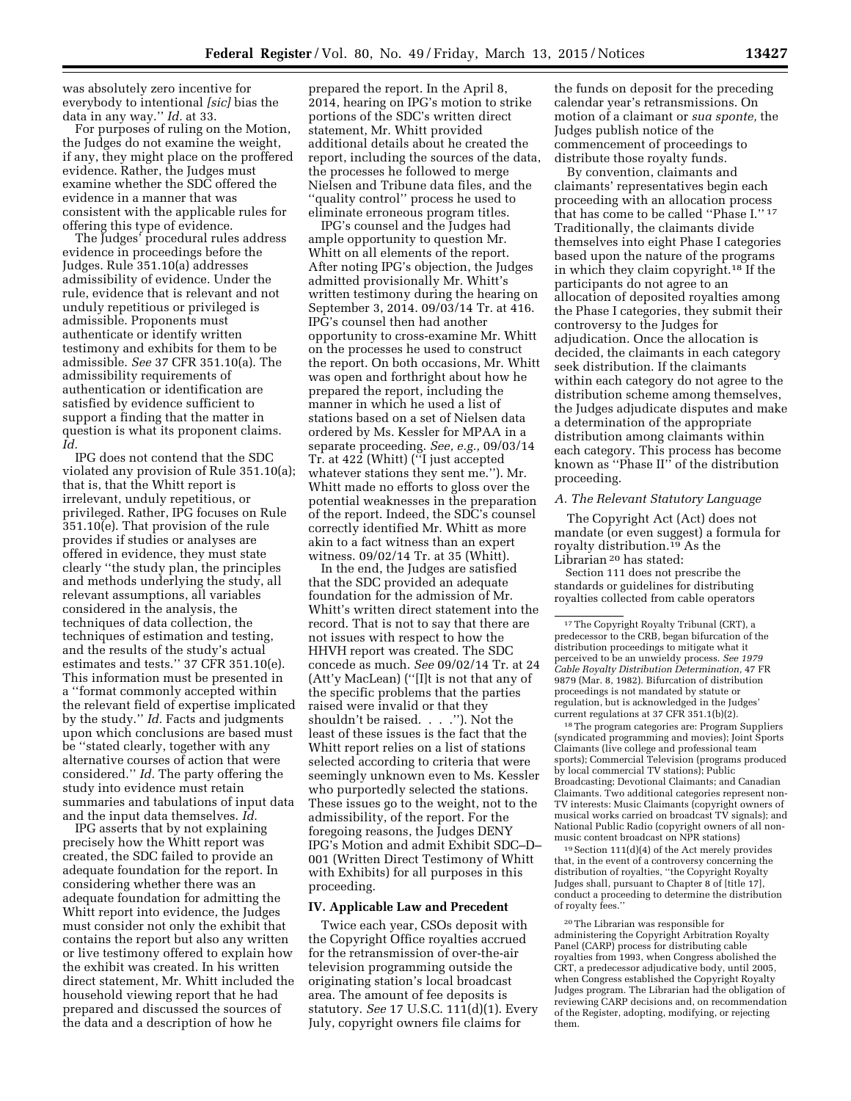was absolutely zero incentive for everybody to intentional *[sic]* bias the data in any way.'' *Id.* at 33.

For purposes of ruling on the Motion, the Judges do not examine the weight, if any, they might place on the proffered evidence. Rather, the Judges must examine whether the SDC offered the evidence in a manner that was consistent with the applicable rules for offering this type of evidence.

The Judges' procedural rules address evidence in proceedings before the Judges. Rule 351.10(a) addresses admissibility of evidence. Under the rule, evidence that is relevant and not unduly repetitious or privileged is admissible. Proponents must authenticate or identify written testimony and exhibits for them to be admissible. *See* 37 CFR 351.10(a). The admissibility requirements of authentication or identification are satisfied by evidence sufficient to support a finding that the matter in question is what its proponent claims. *Id.* 

IPG does not contend that the SDC violated any provision of Rule 351.10(a); that is, that the Whitt report is irrelevant, unduly repetitious, or privileged. Rather, IPG focuses on Rule 351.10(e). That provision of the rule provides if studies or analyses are offered in evidence, they must state clearly ''the study plan, the principles and methods underlying the study, all relevant assumptions, all variables considered in the analysis, the techniques of data collection, the techniques of estimation and testing, and the results of the study's actual estimates and tests.'' 37 CFR 351.10(e). This information must be presented in a ''format commonly accepted within the relevant field of expertise implicated by the study.'' *Id.* Facts and judgments upon which conclusions are based must be ''stated clearly, together with any alternative courses of action that were considered.'' *Id.* The party offering the study into evidence must retain summaries and tabulations of input data and the input data themselves. *Id.* 

IPG asserts that by not explaining precisely how the Whitt report was created, the SDC failed to provide an adequate foundation for the report. In considering whether there was an adequate foundation for admitting the Whitt report into evidence, the Judges must consider not only the exhibit that contains the report but also any written or live testimony offered to explain how the exhibit was created. In his written direct statement, Mr. Whitt included the household viewing report that he had prepared and discussed the sources of the data and a description of how he

prepared the report. In the April 8, 2014, hearing on IPG's motion to strike portions of the SDC's written direct statement, Mr. Whitt provided additional details about he created the report, including the sources of the data, the processes he followed to merge Nielsen and Tribune data files, and the ''quality control'' process he used to eliminate erroneous program titles.

IPG's counsel and the Judges had ample opportunity to question Mr. Whitt on all elements of the report. After noting IPG's objection, the Judges admitted provisionally Mr. Whitt's written testimony during the hearing on September 3, 2014. 09/03/14 Tr. at 416. IPG's counsel then had another opportunity to cross-examine Mr. Whitt on the processes he used to construct the report. On both occasions, Mr. Whitt was open and forthright about how he prepared the report, including the manner in which he used a list of stations based on a set of Nielsen data ordered by Ms. Kessler for MPAA in a separate proceeding. *See, e.g.,* 09/03/14 Tr. at 422 (Whitt) (''I just accepted whatever stations they sent me.''). Mr. Whitt made no efforts to gloss over the potential weaknesses in the preparation of the report. Indeed, the SDC's counsel correctly identified Mr. Whitt as more akin to a fact witness than an expert witness. 09/02/14 Tr. at 35 (Whitt).

In the end, the Judges are satisfied that the SDC provided an adequate foundation for the admission of Mr. Whitt's written direct statement into the record. That is not to say that there are not issues with respect to how the HHVH report was created. The SDC concede as much. *See* 09/02/14 Tr. at 24 (Att'y MacLean) (''[I]t is not that any of the specific problems that the parties raised were invalid or that they shouldn't be raised. . . .''). Not the least of these issues is the fact that the Whitt report relies on a list of stations selected according to criteria that were seemingly unknown even to Ms. Kessler who purportedly selected the stations. These issues go to the weight, not to the admissibility, of the report. For the foregoing reasons, the Judges DENY IPG's Motion and admit Exhibit SDC–D– 001 (Written Direct Testimony of Whitt with Exhibits) for all purposes in this proceeding.

### **IV. Applicable Law and Precedent**

Twice each year, CSOs deposit with the Copyright Office royalties accrued for the retransmission of over-the-air television programming outside the originating station's local broadcast area. The amount of fee deposits is statutory. *See* 17 U.S.C. 111(d)(1). Every July, copyright owners file claims for

the funds on deposit for the preceding calendar year's retransmissions. On motion of a claimant or *sua sponte,* the Judges publish notice of the commencement of proceedings to distribute those royalty funds.

By convention, claimants and claimants' representatives begin each proceeding with an allocation process that has come to be called ''Phase I.'' 17 Traditionally, the claimants divide themselves into eight Phase I categories based upon the nature of the programs in which they claim copyright.18 If the participants do not agree to an allocation of deposited royalties among the Phase I categories, they submit their controversy to the Judges for adjudication. Once the allocation is decided, the claimants in each category seek distribution. If the claimants within each category do not agree to the distribution scheme among themselves, the Judges adjudicate disputes and make a determination of the appropriate distribution among claimants within each category. This process has become known as ''Phase II'' of the distribution proceeding.

### *A. The Relevant Statutory Language*

The Copyright Act (Act) does not mandate (or even suggest) a formula for royalty distribution.19 As the Librarian 20 has stated:

Section 111 does not prescribe the standards or guidelines for distributing royalties collected from cable operators

<sup>18</sup>The program categories are: Program Suppliers (syndicated programming and movies); Joint Sports Claimants (live college and professional team sports); Commercial Television (programs produced by local commercial TV stations); Public Broadcasting; Devotional Claimants; and Canadian Claimants. Two additional categories represent non-TV interests: Music Claimants (copyright owners of musical works carried on broadcast TV signals); and National Public Radio (copyright owners of all nonmusic content broadcast on NPR stations)

19Section 111(d)(4) of the Act merely provides that, in the event of a controversy concerning the distribution of royalties, ''the Copyright Royalty Judges shall, pursuant to Chapter 8 of [title 17], conduct a proceeding to determine the distribution of royalty fees.''

20The Librarian was responsible for administering the Copyright Arbitration Royalty Panel (CARP) process for distributing cable royalties from 1993, when Congress abolished the CRT, a predecessor adjudicative body, until 2005, when Congress established the Copyright Royalty Judges program. The Librarian had the obligation of reviewing CARP decisions and, on recommendation of the Register, adopting, modifying, or rejecting them.

<sup>17</sup>The Copyright Royalty Tribunal (CRT), a predecessor to the CRB, began bifurcation of the distribution proceedings to mitigate what it perceived to be an unwieldy process. *See 1979 Cable Royalty Distribution Determination,* 47 FR 9879 (Mar. 8, 1982). Bifurcation of distribution proceedings is not mandated by statute or regulation, but is acknowledged in the Judges' current regulations at 37 CFR 351.1(b)(2).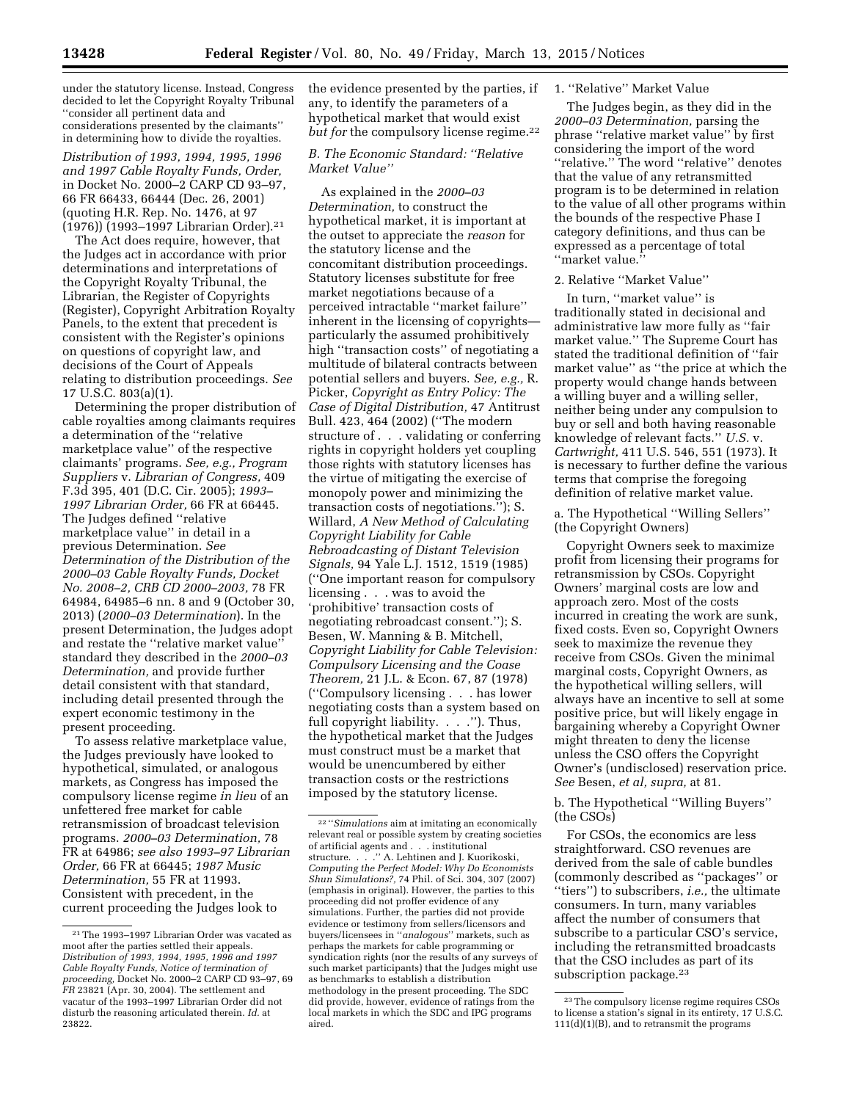under the statutory license. Instead, Congress decided to let the Copyright Royalty Tribunal ''consider all pertinent data and considerations presented by the claimants'' in determining how to divide the royalties.

*Distribution of 1993, 1994, 1995, 1996 and 1997 Cable Royalty Funds, Order,*  in Docket No. 2000–2 CARP CD 93–97, 66 FR 66433, 66444 (Dec. 26, 2001) (quoting H.R. Rep. No. 1476, at 97 (1976)) (1993–1997 Librarian Order).21

The Act does require, however, that the Judges act in accordance with prior determinations and interpretations of the Copyright Royalty Tribunal, the Librarian, the Register of Copyrights (Register), Copyright Arbitration Royalty Panels, to the extent that precedent is consistent with the Register's opinions on questions of copyright law, and decisions of the Court of Appeals relating to distribution proceedings. *See*  17 U.S.C. 803(a)(1).

Determining the proper distribution of cable royalties among claimants requires a determination of the ''relative marketplace value'' of the respective claimants' programs. *See, e.g., Program Suppliers* v. *Librarian of Congress,* 409 F.3d 395, 401 (D.C. Cir. 2005); *1993– 1997 Librarian Order,* 66 FR at 66445. The Judges defined ''relative marketplace value'' in detail in a previous Determination. *See Determination of the Distribution of the 2000–03 Cable Royalty Funds, Docket No. 2008–2, CRB CD 2000–2003,* 78 FR 64984, 64985–6 nn. 8 and 9 (October 30, 2013) (*2000–03 Determination*). In the present Determination, the Judges adopt and restate the ''relative market value'' standard they described in the *2000–03 Determination,* and provide further detail consistent with that standard, including detail presented through the expert economic testimony in the present proceeding.

To assess relative marketplace value, the Judges previously have looked to hypothetical, simulated, or analogous markets, as Congress has imposed the compulsory license regime *in lieu* of an unfettered free market for cable retransmission of broadcast television programs. *2000–03 Determination,* 78 FR at 64986; *see also 1993–97 Librarian Order,* 66 FR at 66445; *1987 Music Determination,* 55 FR at 11993. Consistent with precedent, in the current proceeding the Judges look to

the evidence presented by the parties, if any, to identify the parameters of a hypothetical market that would exist *but for the compulsory license regime.*<sup>22</sup>

## *B. The Economic Standard: ''Relative Market Value''*

As explained in the *2000–03 Determination,* to construct the hypothetical market, it is important at the outset to appreciate the *reason* for the statutory license and the concomitant distribution proceedings. Statutory licenses substitute for free market negotiations because of a perceived intractable ''market failure'' inherent in the licensing of copyrights particularly the assumed prohibitively high ''transaction costs'' of negotiating a multitude of bilateral contracts between potential sellers and buyers. *See, e.g.,* R. Picker, *Copyright as Entry Policy: The Case of Digital Distribution,* 47 Antitrust Bull. 423, 464 (2002) (''The modern structure of . . . validating or conferring rights in copyright holders yet coupling those rights with statutory licenses has the virtue of mitigating the exercise of monopoly power and minimizing the transaction costs of negotiations.''); S. Willard, *A New Method of Calculating Copyright Liability for Cable Rebroadcasting of Distant Television Signals,* 94 Yale L.J. 1512, 1519 (1985) (''One important reason for compulsory licensing . . . was to avoid the 'prohibitive' transaction costs of negotiating rebroadcast consent.''); S. Besen, W. Manning & B. Mitchell, *Copyright Liability for Cable Television: Compulsory Licensing and the Coase Theorem,* 21 J.L. & Econ. 67, 87 (1978) (''Compulsory licensing . . . has lower negotiating costs than a system based on full copyright liability. . . . "). Thus, the hypothetical market that the Judges must construct must be a market that would be unencumbered by either transaction costs or the restrictions imposed by the statutory license.

### 1. ''Relative'' Market Value

The Judges begin, as they did in the *2000–03 Determination,* parsing the phrase ''relative market value'' by first considering the import of the word ''relative.'' The word ''relative'' denotes that the value of any retransmitted program is to be determined in relation to the value of all other programs within the bounds of the respective Phase I category definitions, and thus can be expressed as a percentage of total ''market value.''

### 2. Relative ''Market Value''

In turn, ''market value'' is traditionally stated in decisional and administrative law more fully as ''fair market value.'' The Supreme Court has stated the traditional definition of ''fair market value'' as ''the price at which the property would change hands between a willing buyer and a willing seller, neither being under any compulsion to buy or sell and both having reasonable knowledge of relevant facts.'' *U.S.* v. *Cartwright,* 411 U.S. 546, 551 (1973). It is necessary to further define the various terms that comprise the foregoing definition of relative market value.

a. The Hypothetical ''Willing Sellers'' (the Copyright Owners)

Copyright Owners seek to maximize profit from licensing their programs for retransmission by CSOs. Copyright Owners' marginal costs are low and approach zero. Most of the costs incurred in creating the work are sunk, fixed costs. Even so, Copyright Owners seek to maximize the revenue they receive from CSOs. Given the minimal marginal costs, Copyright Owners, as the hypothetical willing sellers, will always have an incentive to sell at some positive price, but will likely engage in bargaining whereby a Copyright Owner might threaten to deny the license unless the CSO offers the Copyright Owner's (undisclosed) reservation price. *See* Besen, *et al, supra,* at 81.

## b. The Hypothetical ''Willing Buyers'' (the CSOs)

For CSOs, the economics are less straightforward. CSO revenues are derived from the sale of cable bundles (commonly described as ''packages'' or ''tiers'') to subscribers, *i.e.,* the ultimate consumers. In turn, many variables affect the number of consumers that subscribe to a particular CSO's service, including the retransmitted broadcasts that the CSO includes as part of its subscription package.<sup>23</sup>

<sup>21</sup>The 1993–1997 Librarian Order was vacated as moot after the parties settled their appeals. *Distribution of 1993, 1994, 1995, 1996 and 1997 Cable Royalty Funds, Notice of termination of proceeding,* Docket No. 2000–2 CARP CD 93–97, 69 *FR* 23821 (Apr. 30, 2004). The settlement and vacatur of the 1993–1997 Librarian Order did not disturb the reasoning articulated therein. *Id.* at 23822.

<sup>22</sup> ''*Simulations* aim at imitating an economically relevant real or possible system by creating societies of artificial agents and . . . institutional structure. . . .'' A. Lehtinen and J. Kuorikoski, *Computing the Perfect Model: Why Do Economists Shun Simulations?,* 74 Phil. of Sci. 304, 307 (2007) (emphasis in original). However, the parties to this proceeding did not proffer evidence of any simulations. Further, the parties did not provide evidence or testimony from sellers/licensors and buyers/licensees in ''*analogous*'' markets, such as perhaps the markets for cable programming or syndication rights (nor the results of any surveys of such market participants) that the Judges might use as benchmarks to establish a distribution methodology in the present proceeding. The SDC did provide, however, evidence of ratings from the local markets in which the SDC and IPG programs aired.

<sup>23</sup>The compulsory license regime requires CSOs to license a station's signal in its entirety, 17 U.S.C. 111(d)(1)(B), and to retransmit the programs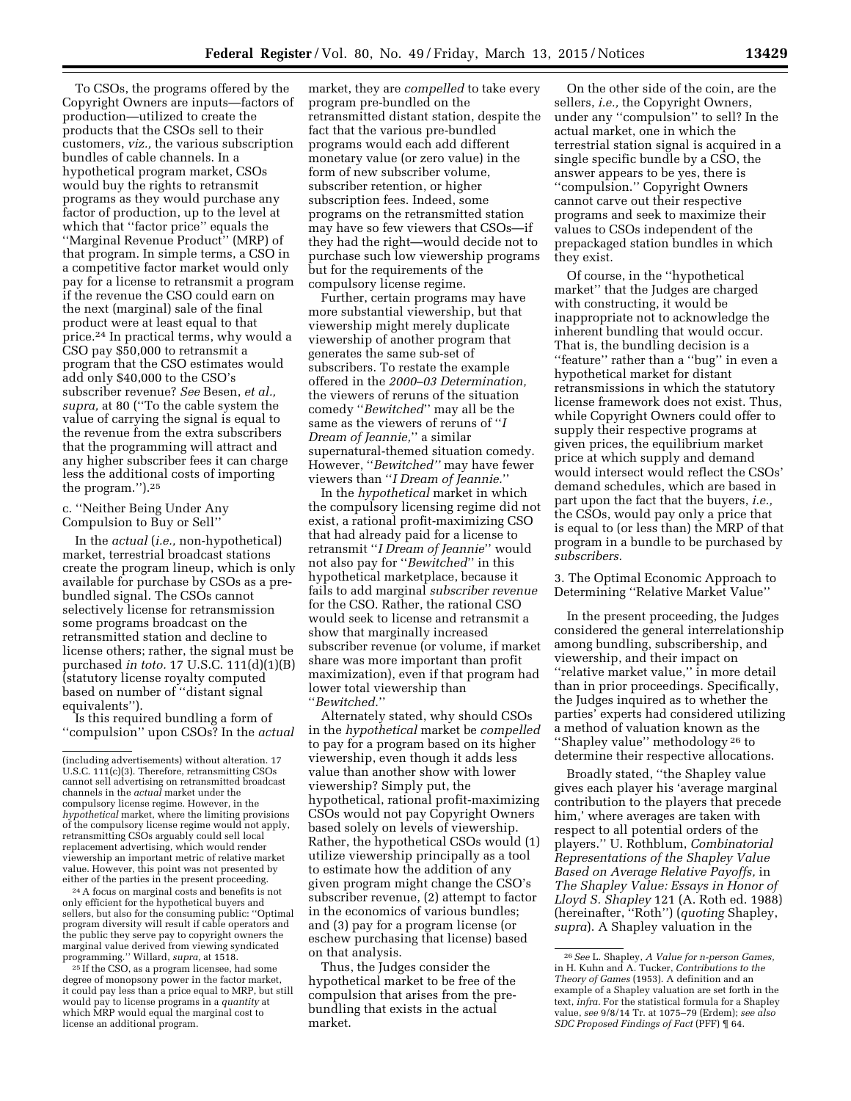To CSOs, the programs offered by the Copyright Owners are inputs—factors of production—utilized to create the products that the CSOs sell to their customers, *viz.,* the various subscription bundles of cable channels. In a hypothetical program market, CSOs would buy the rights to retransmit programs as they would purchase any factor of production, up to the level at which that ''factor price'' equals the ''Marginal Revenue Product'' (MRP) of that program. In simple terms, a CSO in a competitive factor market would only pay for a license to retransmit a program if the revenue the CSO could earn on the next (marginal) sale of the final product were at least equal to that price.24 In practical terms, why would a CSO pay \$50,000 to retransmit a program that the CSO estimates would add only \$40,000 to the CSO's subscriber revenue? *See* Besen, *et al., supra,* at 80 (''To the cable system the value of carrying the signal is equal to the revenue from the extra subscribers that the programming will attract and any higher subscriber fees it can charge less the additional costs of importing the program.'').25

## c. ''Neither Being Under Any Compulsion to Buy or Sell''

In the *actual* (*i.e.,* non-hypothetical) market, terrestrial broadcast stations create the program lineup, which is only available for purchase by CSOs as a prebundled signal. The CSOs cannot selectively license for retransmission some programs broadcast on the retransmitted station and decline to license others; rather, the signal must be purchased *in toto.* 17 U.S.C. 111(d)(1)(B) (statutory license royalty computed based on number of ''distant signal equivalents'').

Is this required bundling a form of ''compulsion'' upon CSOs? In the *actual* 

24A focus on marginal costs and benefits is not only efficient for the hypothetical buyers and sellers, but also for the consuming public: ''Optimal program diversity will result if cable operators and the public they serve pay to copyright owners the marginal value derived from viewing syndicated programming.'' Willard, *supra,* at 1518. 25 If the CSO, as a program licensee, had some

degree of monopsony power in the factor market, it could pay less than a price equal to MRP, but still would pay to license programs in a *quantity* at which MRP would equal the marginal cost to license an additional program.

market, they are *compelled* to take every program pre-bundled on the retransmitted distant station, despite the fact that the various pre-bundled programs would each add different monetary value (or zero value) in the form of new subscriber volume, subscriber retention, or higher subscription fees. Indeed, some programs on the retransmitted station may have so few viewers that CSOs—if they had the right—would decide not to purchase such low viewership programs but for the requirements of the compulsory license regime.

Further, certain programs may have more substantial viewership, but that viewership might merely duplicate viewership of another program that generates the same sub-set of subscribers. To restate the example offered in the *2000–03 Determination,*  the viewers of reruns of the situation comedy ''*Bewitched*'' may all be the same as the viewers of reruns of ''*I Dream of Jeannie,*'' a similar supernatural-themed situation comedy. However, ''*Bewitched''* may have fewer viewers than ''*I Dream of Jeannie.*''

In the *hypothetical* market in which the compulsory licensing regime did not exist, a rational profit-maximizing CSO that had already paid for a license to retransmit ''*I Dream of Jeannie*'' would not also pay for ''*Bewitched*'' in this hypothetical marketplace, because it fails to add marginal *subscriber revenue*  for the CSO. Rather, the rational CSO would seek to license and retransmit a show that marginally increased subscriber revenue (or volume, if market share was more important than profit maximization), even if that program had lower total viewership than ''*Bewitched*.''

Alternately stated, why should CSOs in the *hypothetical* market be *compelled*  to pay for a program based on its higher viewership, even though it adds less value than another show with lower viewership? Simply put, the hypothetical, rational profit-maximizing CSOs would not pay Copyright Owners based solely on levels of viewership. Rather, the hypothetical CSOs would (1) utilize viewership principally as a tool to estimate how the addition of any given program might change the CSO's subscriber revenue, (2) attempt to factor in the economics of various bundles; and (3) pay for a program license (or eschew purchasing that license) based on that analysis.

Thus, the Judges consider the hypothetical market to be free of the compulsion that arises from the prebundling that exists in the actual market.

On the other side of the coin, are the sellers, *i.e.,* the Copyright Owners, under any ''compulsion'' to sell? In the actual market, one in which the terrestrial station signal is acquired in a single specific bundle by a CSO, the answer appears to be yes, there is ''compulsion.'' Copyright Owners cannot carve out their respective programs and seek to maximize their values to CSOs independent of the prepackaged station bundles in which they exist.

Of course, in the ''hypothetical market'' that the Judges are charged with constructing, it would be inappropriate not to acknowledge the inherent bundling that would occur. That is, the bundling decision is a ''feature'' rather than a ''bug'' in even a hypothetical market for distant retransmissions in which the statutory license framework does not exist. Thus, while Copyright Owners could offer to supply their respective programs at given prices, the equilibrium market price at which supply and demand would intersect would reflect the CSOs' demand schedules, which are based in part upon the fact that the buyers, *i.e.,*  the CSOs, would pay only a price that is equal to (or less than) the MRP of that program in a bundle to be purchased by *subscribers.* 

3. The Optimal Economic Approach to Determining ''Relative Market Value''

In the present proceeding, the Judges considered the general interrelationship among bundling, subscribership, and viewership, and their impact on ''relative market value,'' in more detail than in prior proceedings. Specifically, the Judges inquired as to whether the parties' experts had considered utilizing a method of valuation known as the ''Shapley value'' methodology 26 to determine their respective allocations.

Broadly stated, ''the Shapley value gives each player his 'average marginal contribution to the players that precede him,' where averages are taken with respect to all potential orders of the players.'' U. Rothblum, *Combinatorial Representations of the Shapley Value Based on Average Relative Payoffs,* in *The Shapley Value: Essays in Honor of Lloyd S. Shapley* 121 (A. Roth ed. 1988) (hereinafter, ''Roth'') (*quoting* Shapley, *supra*). A Shapley valuation in the

<sup>(</sup>including advertisements) without alteration. 17 U.S.C. 111(c)(3). Therefore, retransmitting CSOs cannot sell advertising on retransmitted broadcast channels in the *actual* market under the compulsory license regime. However, in the *hypothetical* market, where the limiting provisions of the compulsory license regime would not apply, retransmitting CSOs arguably could sell local replacement advertising, which would render viewership an important metric of relative market value. However, this point was not presented by either of the parties in the present proceeding.

<sup>26</sup>*See* L. Shapley, *A Value for n-person Games,*  in H. Kuhn and A. Tucker, *Contributions to the Theory of Games* (1953). A definition and an example of a Shapley valuation are set forth in the text, *infra.* For the statistical formula for a Shapley value, *see* 9/8/14 Tr. at 1075–79 (Erdem); *see also SDC Proposed Findings of Fact* (PFF) ¶ 64.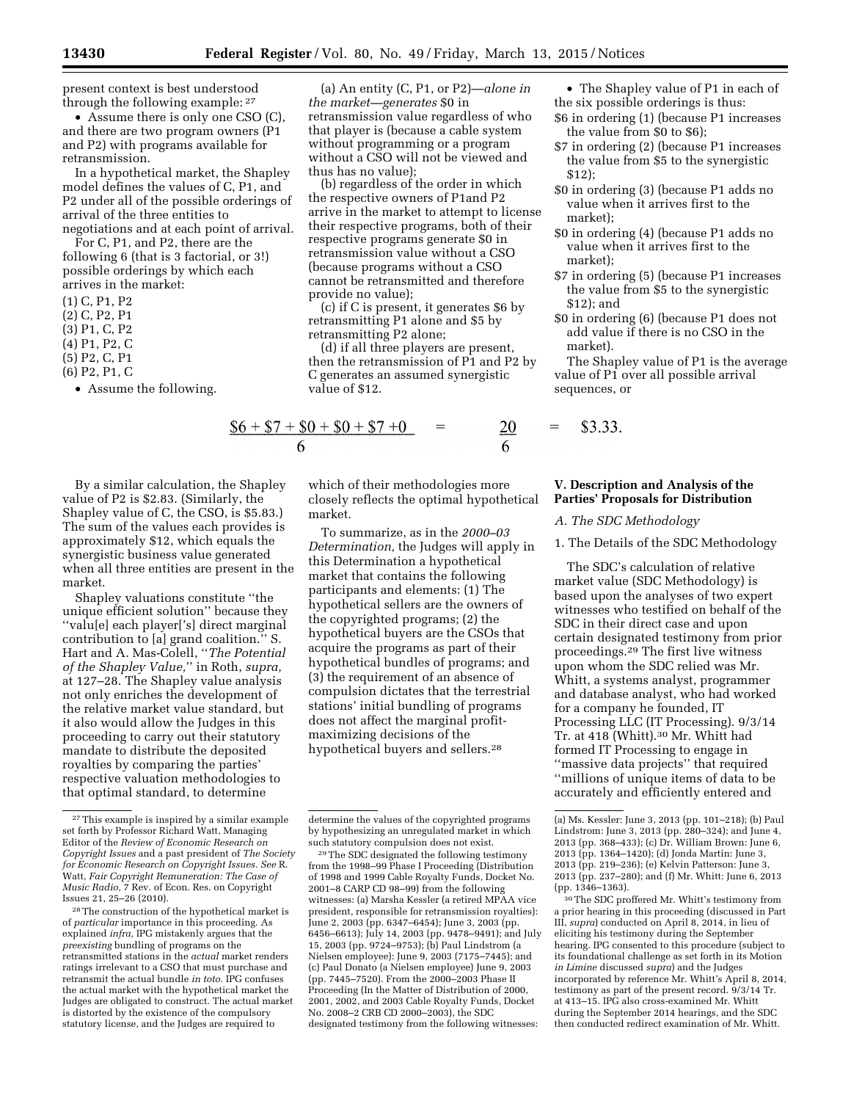present context is best understood through the following example: 27

• Assume there is only one CSO (C), and there are two program owners (P1 and P2) with programs available for retransmission.

In a hypothetical market, the Shapley model defines the values of C, P1, and P2 under all of the possible orderings of arrival of the three entities to negotiations and at each point of arrival.

For C, P1, and P2, there are the following 6 (that is 3 factorial, or 3!) possible orderings by which each arrives in the market:

- (1) C, P1, P2
- (2) C, P2, P1
- (3) P1, C, P2
- (4) P1, P2, C
- (5) P2, C, P1
- (6) P2, P1, C
	- Assume the following.

(a) An entity (C, P1, or P2)—*alone in the market—generates* \$0 in retransmission value regardless of who that player is (because a cable system without programming or a program without a CSO will not be viewed and thus has no value);

(b) regardless of the order in which the respective owners of P1and P2 arrive in the market to attempt to license their respective programs, both of their respective programs generate \$0 in retransmission value without a CSO (because programs without a CSO cannot be retransmitted and therefore provide no value);

(c) if C is present, it generates \$6 by retransmitting P1 alone and \$5 by retransmitting P2 alone;

(d) if all three players are present, then the retransmission of P1 and P2 by C generates an assumed synergistic value of \$12.

$$
\frac{\$6 + \$7 + \$0 + \$0 + \$7 + 0}{6} = \frac{20}{6} = \$3.33.
$$

By a similar calculation, the Shapley value of P2 is \$2.83. (Similarly, the Shapley value of C, the CSO, is \$5.83.) The sum of the values each provides is approximately \$12, which equals the synergistic business value generated when all three entities are present in the market.

Shapley valuations constitute ''the unique efficient solution'' because they ''valu[e] each player['s] direct marginal contribution to [a] grand coalition.'' S. Hart and A. Mas-Colell, ''*The Potential of the Shapley Value,*'' in Roth, *supra,*  at 127–28. The Shapley value analysis not only enriches the development of the relative market value standard, but it also would allow the Judges in this proceeding to carry out their statutory mandate to distribute the deposited royalties by comparing the parties' respective valuation methodologies to that optimal standard, to determine

28The construction of the hypothetical market is of *particular* importance in this proceeding. As explained *infra,* IPG mistakenly argues that the *preexisting* bundling of programs on the retransmitted stations in the *actual* market renders ratings irrelevant to a CSO that must purchase and retransmit the actual bundle *in toto.* IPG confuses the actual market with the hypothetical market the Judges are obligated to construct. The actual market is distorted by the existence of the compulsory statutory license, and the Judges are required to

which of their methodologies more closely reflects the optimal hypothetical market.

To summarize, as in the *2000–03 Determination,* the Judges will apply in this Determination a hypothetical market that contains the following participants and elements: (1) The hypothetical sellers are the owners of the copyrighted programs; (2) the hypothetical buyers are the CSOs that acquire the programs as part of their hypothetical bundles of programs; and (3) the requirement of an absence of compulsion dictates that the terrestrial stations' initial bundling of programs does not affect the marginal profitmaximizing decisions of the hypothetical buyers and sellers.28

29The SDC designated the following testimony from the 1998–99 Phase I Proceeding (Distribution of 1998 and 1999 Cable Royalty Funds, Docket No. 2001–8 CARP CD 98–99) from the following witnesses: (a) Marsha Kessler (a retired MPAA vice president, responsible for retransmission royalties): June 2, 2003 (pp. 6347–6454); June 3, 2003 (pp. 6456–6613); July 14, 2003 (pp. 9478–9491); and July 15, 2003 (pp. 9724–9753); (b) Paul Lindstrom (a Nielsen employee): June 9, 2003 (7175–7445); and (c) Paul Donato (a Nielsen employee) June 9, 2003 (pp. 7445–7520). From the 2000–2003 Phase II Proceeding (In the Matter of Distribution of 2000, 2001, 2002, and 2003 Cable Royalty Funds, Docket No. 2008–2 CRB CD 2000–2003), the SDC designated testimony from the following witnesses:

- The Shapley value of P1 in each of the six possible orderings is thus:
- \$6 in ordering (1) (because P1 increases the value from \$0 to \$6);
- \$7 in ordering (2) (because P1 increases the value from \$5 to the synergistic \$12);
- \$0 in ordering (3) (because P1 adds no value when it arrives first to the market);
- \$0 in ordering (4) (because P1 adds no value when it arrives first to the market);
- \$7 in ordering (5) (because P1 increases the value from \$5 to the synergistic \$12); and
- \$0 in ordering (6) (because P1 does not add value if there is no CSO in the market).

The Shapley value of P1 is the average value of P1 over all possible arrival sequences, or

## **V. Description and Analysis of the Parties' Proposals for Distribution**

### *A. The SDC Methodology*

1. The Details of the SDC Methodology

The SDC's calculation of relative market value (SDC Methodology) is based upon the analyses of two expert witnesses who testified on behalf of the SDC in their direct case and upon certain designated testimony from prior proceedings.29 The first live witness upon whom the SDC relied was Mr. Whitt, a systems analyst, programmer and database analyst, who had worked for a company he founded, IT Processing LLC (IT Processing). 9/3/14 Tr. at 418 (Whitt).30 Mr. Whitt had formed IT Processing to engage in ''massive data projects'' that required ''millions of unique items of data to be accurately and efficiently entered and

<sup>27</sup>This example is inspired by a similar example set forth by Professor Richard Watt, Managing Editor of the *Review of Economic Research on Copyright Issues* and a past president of *The Society for Economic Research on Copyright Issues. See* R. Watt, *Fair Copyright Remuneration: The Case of Music Radio,* 7 Rev. of Econ. Res. on Copyright Issues 21, 25–26 (2010).

determine the values of the copyrighted programs by hypothesizing an unregulated market in which such statutory compulsion does not exist.

<sup>(</sup>a) Ms. Kessler: June 3, 2013 (pp. 101–218); (b) Paul Lindstrom: June 3, 2013 (pp. 280–324); and June 4, 2013 (pp. 368–433); (c) Dr. William Brown: June 6, 2013 (pp. 1364–1420); (d) Jonda Martin: June 3, 2013 (pp. 219–236); (e) Kelvin Patterson: June 3, 2013 (pp. 237–280); and (f) Mr. Whitt: June 6, 2013 (pp. 1346–1363).

<sup>30</sup>The SDC proffered Mr. Whitt's testimony from a prior hearing in this proceeding (discussed in Part III, *supra*) conducted on April 8, 2014, in lieu of eliciting his testimony during the September hearing. IPG consented to this procedure (subject to its foundational challenge as set forth in its Motion *in Limine* discussed *supra*) and the Judges incorporated by reference Mr. Whitt's April 8, 2014, testimony as part of the present record. 9/3/14 Tr. at 413–15. IPG also cross-examined Mr. Whitt during the September 2014 hearings, and the SDC then conducted redirect examination of Mr. Whitt.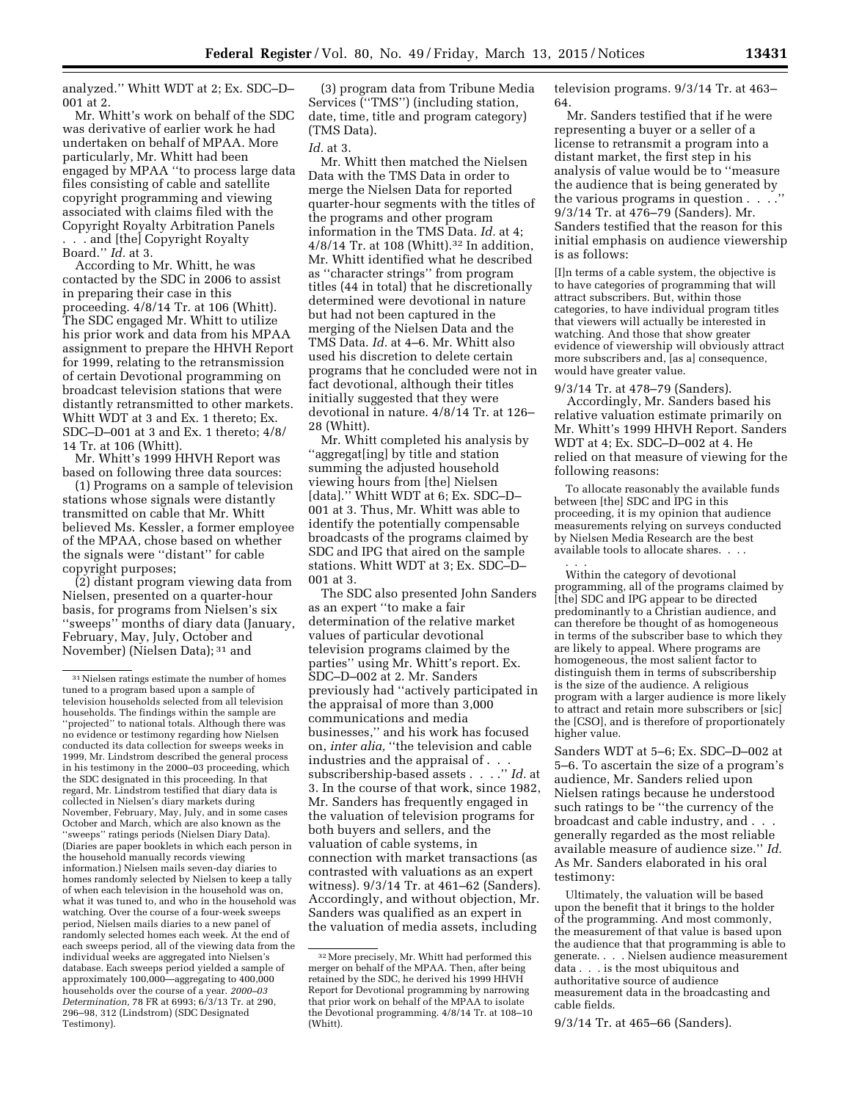analyzed.'' Whitt WDT at 2; Ex. SDC–D– 001 at 2.

Mr. Whitt's work on behalf of the SDC was derivative of earlier work he had undertaken on behalf of MPAA. More particularly, Mr. Whitt had been engaged by MPAA ''to process large data files consisting of cable and satellite copyright programming and viewing associated with claims filed with the Copyright Royalty Arbitration Panels . . . and [the] Copyright Royalty Board.'' *Id.* at 3.

According to Mr. Whitt, he was contacted by the SDC in 2006 to assist in preparing their case in this proceeding. 4/8/14 Tr. at 106 (Whitt). The SDC engaged Mr. Whitt to utilize his prior work and data from his MPAA assignment to prepare the HHVH Report for 1999, relating to the retransmission of certain Devotional programming on broadcast television stations that were distantly retransmitted to other markets. Whitt WDT at 3 and Ex. 1 thereto; Ex. SDC–D–001 at 3 and Ex. 1 thereto; 4/8/ 14 Tr. at 106 (Whitt).

Mr. Whitt's 1999 HHVH Report was based on following three data sources:

(1) Programs on a sample of television stations whose signals were distantly transmitted on cable that Mr. Whitt believed Ms. Kessler, a former employee of the MPAA, chose based on whether the signals were ''distant'' for cable copyright purposes;

(2) distant program viewing data from Nielsen, presented on a quarter-hour basis, for programs from Nielsen's six ''sweeps'' months of diary data (January, February, May, July, October and November) (Nielsen Data); 31 and

(3) program data from Tribune Media Services (''TMS'') (including station, date, time, title and program category) (TMS Data).

### *Id.* at 3.

Mr. Whitt then matched the Nielsen Data with the TMS Data in order to merge the Nielsen Data for reported quarter-hour segments with the titles of the programs and other program information in the TMS Data. *Id.* at 4; 4/8/14 Tr. at 108 (Whitt).32 In addition, Mr. Whitt identified what he described as ''character strings'' from program titles (44 in total) that he discretionally determined were devotional in nature but had not been captured in the merging of the Nielsen Data and the TMS Data. *Id.* at 4–6. Mr. Whitt also used his discretion to delete certain programs that he concluded were not in fact devotional, although their titles initially suggested that they were devotional in nature. 4/8/14 Tr. at 126– 28 (Whitt).

Mr. Whitt completed his analysis by ''aggregat[ing] by title and station summing the adjusted household viewing hours from [the] Nielsen [data]." Whitt WDT at 6; Ex. SDC-D-001 at 3. Thus, Mr. Whitt was able to identify the potentially compensable broadcasts of the programs claimed by SDC and IPG that aired on the sample stations. Whitt WDT at 3; Ex. SDC–D– 001 at 3.

The SDC also presented John Sanders as an expert ''to make a fair determination of the relative market values of particular devotional television programs claimed by the parties'' using Mr. Whitt's report. Ex. SDC–D–002 at 2. Mr. Sanders previously had ''actively participated in the appraisal of more than 3,000 communications and media businesses,'' and his work has focused on, *inter alia,* ''the television and cable industries and the appraisal of . . . subscribership-based assets . . . .'' *Id.* at 3. In the course of that work, since 1982, Mr. Sanders has frequently engaged in the valuation of television programs for both buyers and sellers, and the valuation of cable systems, in connection with market transactions (as contrasted with valuations as an expert witness). 9/3/14 Tr. at 461–62 (Sanders). Accordingly, and without objection, Mr. Sanders was qualified as an expert in the valuation of media assets, including

television programs. 9/3/14 Tr. at 463– 64.

Mr. Sanders testified that if he were representing a buyer or a seller of a license to retransmit a program into a distant market, the first step in his analysis of value would be to ''measure the audience that is being generated by the various programs in question . . . .'' 9/3/14 Tr. at 476–79 (Sanders). Mr. Sanders testified that the reason for this initial emphasis on audience viewership is as follows:

[I]n terms of a cable system, the objective is to have categories of programming that will attract subscribers. But, within those categories, to have individual program titles that viewers will actually be interested in watching. And those that show greater evidence of viewership will obviously attract more subscribers and, [as a] consequence, would have greater value.

### 9/3/14 Tr. at 478–79 (Sanders).

Accordingly, Mr. Sanders based his relative valuation estimate primarily on Mr. Whitt's 1999 HHVH Report. Sanders WDT at 4; Ex. SDC–D–002 at 4. He relied on that measure of viewing for the following reasons:

To allocate reasonably the available funds between [the] SDC and IPG in this proceeding, it is my opinion that audience measurements relying on surveys conducted by Nielsen Media Research are the best available tools to allocate shares. . . .

. . . Within the category of devotional programming, all of the programs claimed by [the] SDC and IPG appear to be directed predominantly to a Christian audience, and can therefore be thought of as homogeneous in terms of the subscriber base to which they are likely to appeal. Where programs are homogeneous, the most salient factor to distinguish them in terms of subscribership is the size of the audience. A religious program with a larger audience is more likely to attract and retain more subscribers or [sic] the [CSO], and is therefore of proportionately higher value.

Sanders WDT at 5–6; Ex. SDC–D–002 at 5–6. To ascertain the size of a program's audience, Mr. Sanders relied upon Nielsen ratings because he understood such ratings to be ''the currency of the broadcast and cable industry, and . . . generally regarded as the most reliable available measure of audience size.'' *Id.*  As Mr. Sanders elaborated in his oral testimony:

Ultimately, the valuation will be based upon the benefit that it brings to the holder of the programming. And most commonly, the measurement of that value is based upon the audience that that programming is able to generate. . . . Nielsen audience measurement data . . . is the most ubiquitous and authoritative source of audience measurement data in the broadcasting and cable fields.

9/3/14 Tr. at 465–66 (Sanders).

<sup>31</sup>Nielsen ratings estimate the number of homes tuned to a program based upon a sample of television households selected from all television households. The findings within the sample are ''projected'' to national totals. Although there was no evidence or testimony regarding how Nielsen conducted its data collection for sweeps weeks in 1999, Mr. Lindstrom described the general process in his testimony in the 2000–03 proceeding, which the SDC designated in this proceeding. In that regard, Mr. Lindstrom testified that diary data is collected in Nielsen's diary markets during November, February, May, July, and in some cases October and March, which are also known as the ''sweeps'' ratings periods (Nielsen Diary Data). (Diaries are paper booklets in which each person in the household manually records viewing information.) Nielsen mails seven-day diaries to homes randomly selected by Nielsen to keep a tally of when each television in the household was on, what it was tuned to, and who in the household was watching. Over the course of a four-week sweeps period, Nielsen mails diaries to a new panel of randomly selected homes each week. At the end of each sweeps period, all of the viewing data from the individual weeks are aggregated into Nielsen's database. Each sweeps period yielded a sample of approximately 100,000—aggregating to 400,000 households over the course of a year. *2000–03 Determination,* 78 FR at 6993; 6/3/13 Tr. at 290, 296–98, 312 (Lindstrom) (SDC Designated Testimony).

<sup>32</sup>More precisely, Mr. Whitt had performed this merger on behalf of the MPAA. Then, after being retained by the SDC, he derived his 1999 HHVH Report for Devotional programming by narrowing that prior work on behalf of the MPAA to isolate the Devotional programming. 4/8/14 Tr. at 108–10 (Whitt).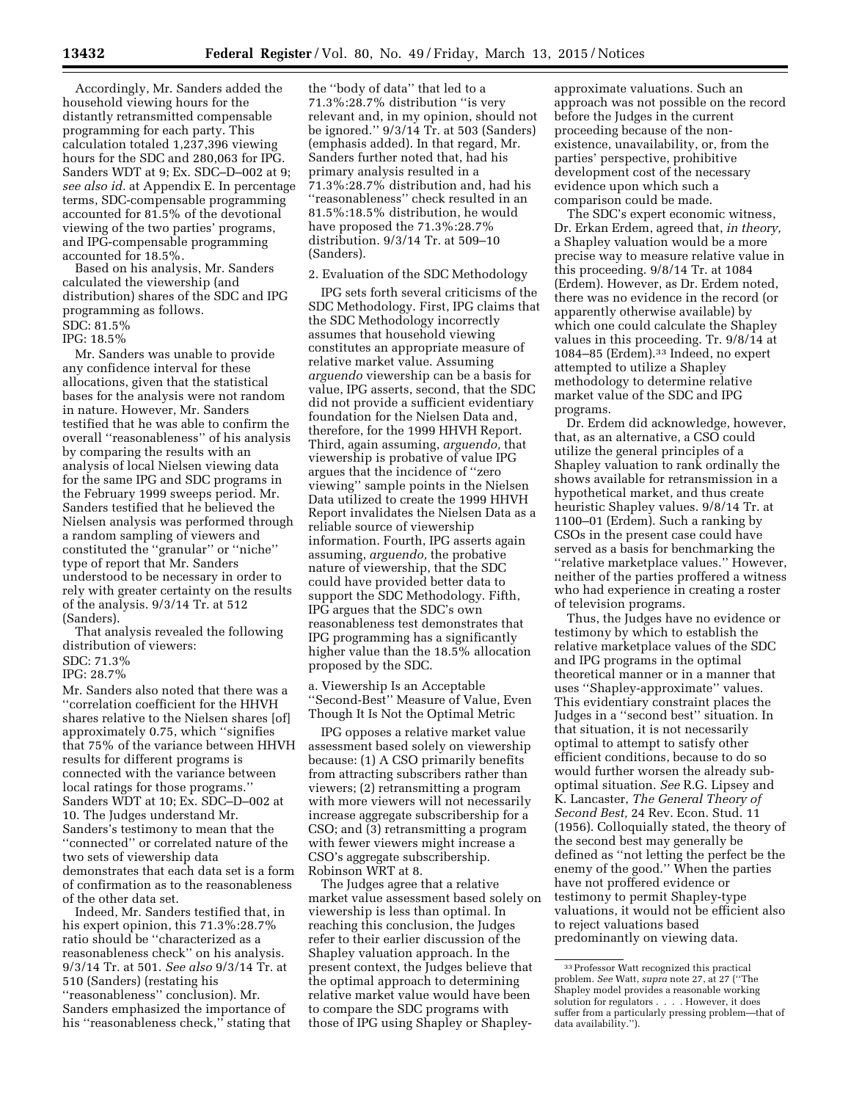Accordingly, Mr. Sanders added the household viewing hours for the distantly retransmitted compensable programming for each party. This calculation totaled 1,237,396 viewing hours for the SDC and 280,063 for IPG. Sanders WDT at 9; Ex. SDC–D–002 at 9; *see also id.* at Appendix E. In percentage terms, SDC-compensable programming accounted for 81.5% of the devotional viewing of the two parties' programs, and IPG-compensable programming accounted for 18.5%.

Based on his analysis, Mr. Sanders calculated the viewership (and distribution) shares of the SDC and IPG programming as follows. SDC: 81.5%

IPG: 18.5%

Mr. Sanders was unable to provide any confidence interval for these allocations, given that the statistical bases for the analysis were not random in nature. However, Mr. Sanders testified that he was able to confirm the overall ''reasonableness'' of his analysis by comparing the results with an analysis of local Nielsen viewing data for the same IPG and SDC programs in the February 1999 sweeps period. Mr. Sanders testified that he believed the Nielsen analysis was performed through a random sampling of viewers and constituted the ''granular'' or ''niche'' type of report that Mr. Sanders understood to be necessary in order to rely with greater certainty on the results of the analysis. 9/3/14 Tr. at 512 (Sanders).

That analysis revealed the following distribution of viewers:

## SDC: 71.3%

IPG: 28.7%

Mr. Sanders also noted that there was a ''correlation coefficient for the HHVH shares relative to the Nielsen shares [of] approximately 0.75, which ''signifies that 75% of the variance between HHVH results for different programs is connected with the variance between local ratings for those programs.'' Sanders WDT at 10; Ex. SDC–D–002 at 10. The Judges understand Mr. Sanders's testimony to mean that the ''connected'' or correlated nature of the two sets of viewership data demonstrates that each data set is a form of confirmation as to the reasonableness of the other data set.

Indeed, Mr. Sanders testified that, in his expert opinion, this 71.3%:28.7% ratio should be ''characterized as a reasonableness check'' on his analysis. 9/3/14 Tr. at 501. *See also* 9/3/14 Tr. at 510 (Sanders) (restating his ''reasonableness'' conclusion). Mr. Sanders emphasized the importance of his ''reasonableness check,'' stating that the ''body of data'' that led to a 71.3%:28.7% distribution ''is very relevant and, in my opinion, should not be ignored.'' 9/3/14 Tr. at 503 (Sanders) (emphasis added). In that regard, Mr. Sanders further noted that, had his primary analysis resulted in a 71.3%:28.7% distribution and, had his ''reasonableness'' check resulted in an 81.5%:18.5% distribution, he would have proposed the 71.3%:28.7% distribution. 9/3/14 Tr. at 509–10 (Sanders).

## 2. Evaluation of the SDC Methodology

IPG sets forth several criticisms of the SDC Methodology. First, IPG claims that the SDC Methodology incorrectly assumes that household viewing constitutes an appropriate measure of relative market value. Assuming *arguendo* viewership can be a basis for value, IPG asserts, second, that the SDC did not provide a sufficient evidentiary foundation for the Nielsen Data and, therefore, for the 1999 HHVH Report. Third, again assuming, *arguendo,* that viewership is probative of value IPG argues that the incidence of ''zero viewing'' sample points in the Nielsen Data utilized to create the 1999 HHVH Report invalidates the Nielsen Data as a reliable source of viewership information. Fourth, IPG asserts again assuming, *arguendo,* the probative nature of viewership, that the SDC could have provided better data to support the SDC Methodology. Fifth, IPG argues that the SDC's own reasonableness test demonstrates that IPG programming has a significantly higher value than the 18.5% allocation proposed by the SDC.

a. Viewership Is an Acceptable ''Second-Best'' Measure of Value, Even Though It Is Not the Optimal Metric

IPG opposes a relative market value assessment based solely on viewership because: (1) A CSO primarily benefits from attracting subscribers rather than viewers; (2) retransmitting a program with more viewers will not necessarily increase aggregate subscribership for a CSO; and (3) retransmitting a program with fewer viewers might increase a CSO's aggregate subscribership. Robinson WRT at 8.

The Judges agree that a relative market value assessment based solely on viewership is less than optimal. In reaching this conclusion, the Judges refer to their earlier discussion of the Shapley valuation approach. In the present context, the Judges believe that the optimal approach to determining relative market value would have been to compare the SDC programs with those of IPG using Shapley or Shapleyapproximate valuations. Such an approach was not possible on the record before the Judges in the current proceeding because of the nonexistence, unavailability, or, from the parties' perspective, prohibitive development cost of the necessary evidence upon which such a comparison could be made.

The SDC's expert economic witness, Dr. Erkan Erdem, agreed that, *in theory,*  a Shapley valuation would be a more precise way to measure relative value in this proceeding. 9/8/14 Tr. at 1084 (Erdem). However, as Dr. Erdem noted, there was no evidence in the record (or apparently otherwise available) by which one could calculate the Shapley values in this proceeding. Tr. 9/8/14 at 1084–85 (Erdem).33 Indeed, no expert attempted to utilize a Shapley methodology to determine relative market value of the SDC and IPG programs.

Dr. Erdem did acknowledge, however, that, as an alternative, a CSO could utilize the general principles of a Shapley valuation to rank ordinally the shows available for retransmission in a hypothetical market, and thus create heuristic Shapley values. 9/8/14 Tr. at 1100–01 (Erdem). Such a ranking by CSOs in the present case could have served as a basis for benchmarking the ''relative marketplace values.'' However, neither of the parties proffered a witness who had experience in creating a roster of television programs.

Thus, the Judges have no evidence or testimony by which to establish the relative marketplace values of the SDC and IPG programs in the optimal theoretical manner or in a manner that uses ''Shapley-approximate'' values. This evidentiary constraint places the Judges in a ''second best'' situation. In that situation, it is not necessarily optimal to attempt to satisfy other efficient conditions, because to do so would further worsen the already suboptimal situation. *See* R.G. Lipsey and K. Lancaster, *The General Theory of Second Best,* 24 Rev. Econ. Stud. 11 (1956). Colloquially stated, the theory of the second best may generally be defined as ''not letting the perfect be the enemy of the good.'' When the parties have not proffered evidence or testimony to permit Shapley-type valuations, it would not be efficient also to reject valuations based predominantly on viewing data.

<sup>33</sup>Professor Watt recognized this practical problem. *See* Watt, *supra* note 27, at 27 (''The Shapley model provides a reasonable working solution for regulators . . . . However, it does suffer from a particularly pressing problem—that of data availability.'').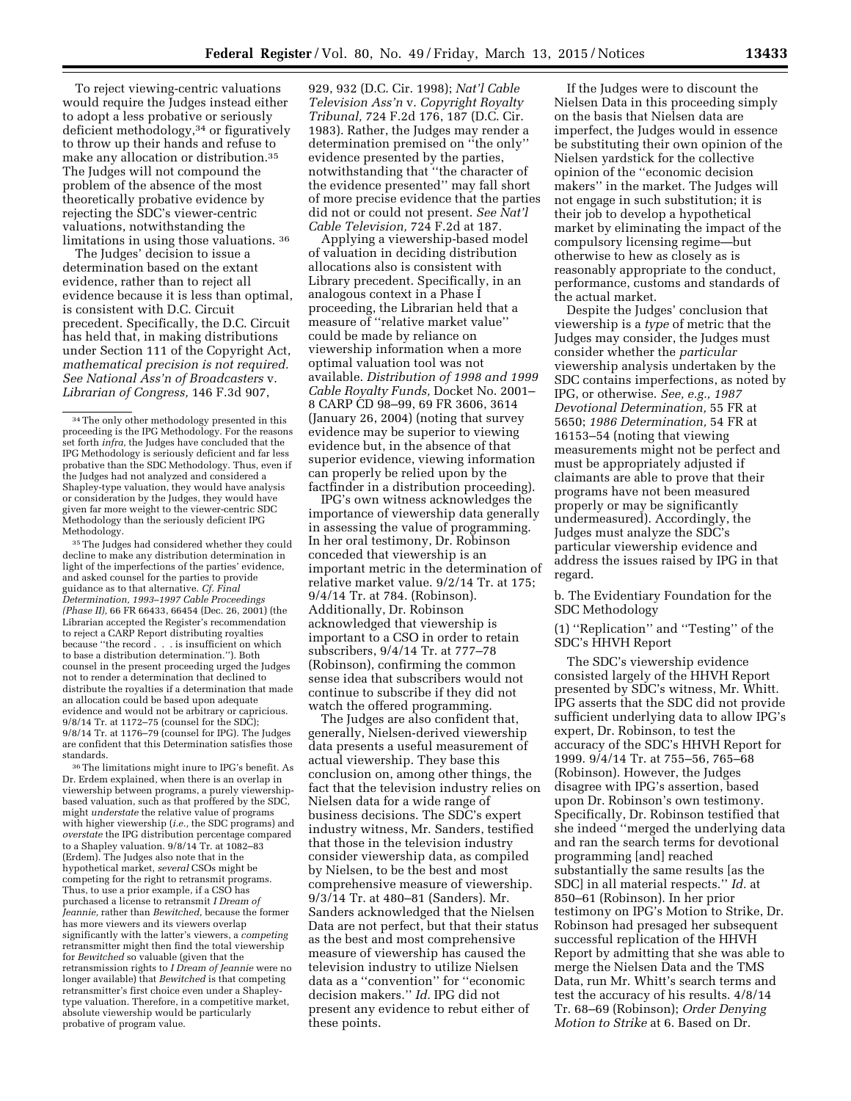To reject viewing-centric valuations would require the Judges instead either to adopt a less probative or seriously deficient methodology,34 or figuratively to throw up their hands and refuse to make any allocation or distribution.35 The Judges will not compound the problem of the absence of the most theoretically probative evidence by rejecting the SDC's viewer-centric valuations, notwithstanding the limitations in using those valuations. 36

The Judges' decision to issue a determination based on the extant evidence, rather than to reject all evidence because it is less than optimal, is consistent with D.C. Circuit precedent. Specifically, the D.C. Circuit has held that, in making distributions under Section 111 of the Copyright Act, *mathematical precision is not required. See National Ass'n of Broadcasters* v. *Librarian of Congress,* 146 F.3d 907,

35The Judges had considered whether they could decline to make any distribution determination in light of the imperfections of the parties' evidence, and asked counsel for the parties to provide guidance as to that alternative. *Cf. Final Determination, 1993–1997 Cable Proceedings (Phase II),* 66 FR 66433, 66454 (Dec. 26, 2001) (the Librarian accepted the Register's recommendation to reject a CARP Report distributing royalties because ''the record . . . is insufficient on which to base a distribution determination.''). Both counsel in the present proceeding urged the Judges not to render a determination that declined to distribute the royalties if a determination that made an allocation could be based upon adequate evidence and would not be arbitrary or capricious. 9/8/14 Tr. at 1172–75 (counsel for the SDC); 9/8/14 Tr. at 1176–79 (counsel for IPG). The Judges are confident that this Determination satisfies those standards.

36The limitations might inure to IPG's benefit. As Dr. Erdem explained, when there is an overlap in viewership between programs, a purely viewershipbased valuation, such as that proffered by the SDC, might *understate* the relative value of programs with higher viewership (*i.e.,* the SDC programs) and *overstate* the IPG distribution percentage compared to a Shapley valuation. 9/8/14 Tr. at 1082–83 (Erdem). The Judges also note that in the hypothetical market, *several* CSOs might be competing for the right to retransmit programs. Thus, to use a prior example, if a CSO has purchased a license to retransmit *I Dream of Jeannie,* rather than *Bewitched,* because the former has more viewers and its viewers overlap significantly with the latter's viewers, a *competing*  retransmitter might then find the total viewership for *Bewitched* so valuable (given that the retransmission rights to *I Dream of Jeannie* were no longer available) that *Bewitched* is that competing retransmitter's first choice even under a Shapleytype valuation. Therefore, in a competitive market, absolute viewership would be particularly probative of program value.

929, 932 (D.C. Cir. 1998); *Nat'l Cable Television Ass'n* v. *Copyright Royalty Tribunal,* 724 F.2d 176, 187 (D.C. Cir. 1983). Rather, the Judges may render a determination premised on ''the only'' evidence presented by the parties, notwithstanding that ''the character of the evidence presented'' may fall short of more precise evidence that the parties did not or could not present. *See Nat'l Cable Television,* 724 F.2d at 187.

Applying a viewership-based model of valuation in deciding distribution allocations also is consistent with Library precedent. Specifically, in an analogous context in a Phase I proceeding, the Librarian held that a measure of ''relative market value'' could be made by reliance on viewership information when a more optimal valuation tool was not available. *Distribution of 1998 and 1999 Cable Royalty Funds,* Docket No. 2001– 8 CARP CD 98–99, 69 FR 3606, 3614 (January 26, 2004) (noting that survey evidence may be superior to viewing evidence but, in the absence of that superior evidence, viewing information can properly be relied upon by the factfinder in a distribution proceeding).

IPG's own witness acknowledges the importance of viewership data generally in assessing the value of programming. In her oral testimony, Dr. Robinson conceded that viewership is an important metric in the determination of relative market value. 9/2/14 Tr. at 175; 9/4/14 Tr. at 784. (Robinson). Additionally, Dr. Robinson acknowledged that viewership is important to a CSO in order to retain subscribers, 9/4/14 Tr. at 777–78 (Robinson), confirming the common sense idea that subscribers would not continue to subscribe if they did not watch the offered programming.

The Judges are also confident that, generally, Nielsen-derived viewership data presents a useful measurement of actual viewership. They base this conclusion on, among other things, the fact that the television industry relies on Nielsen data for a wide range of business decisions. The SDC's expert industry witness, Mr. Sanders, testified that those in the television industry consider viewership data, as compiled by Nielsen, to be the best and most comprehensive measure of viewership. 9/3/14 Tr. at 480–81 (Sanders). Mr. Sanders acknowledged that the Nielsen Data are not perfect, but that their status as the best and most comprehensive measure of viewership has caused the television industry to utilize Nielsen data as a ''convention'' for ''economic decision makers.'' *Id.* IPG did not present any evidence to rebut either of these points.

If the Judges were to discount the Nielsen Data in this proceeding simply on the basis that Nielsen data are imperfect, the Judges would in essence be substituting their own opinion of the Nielsen yardstick for the collective opinion of the ''economic decision makers'' in the market. The Judges will not engage in such substitution; it is their job to develop a hypothetical market by eliminating the impact of the compulsory licensing regime—but otherwise to hew as closely as is reasonably appropriate to the conduct, performance, customs and standards of the actual market.

Despite the Judges' conclusion that viewership is a *type* of metric that the Judges may consider, the Judges must consider whether the *particular*  viewership analysis undertaken by the SDC contains imperfections, as noted by IPG, or otherwise. *See, e.g., 1987 Devotional Determination,* 55 FR at 5650; *1986 Determination,* 54 FR at 16153–54 (noting that viewing measurements might not be perfect and must be appropriately adjusted if claimants are able to prove that their programs have not been measured properly or may be significantly undermeasured). Accordingly, the Judges must analyze the SDC's particular viewership evidence and address the issues raised by IPG in that regard.

b. The Evidentiary Foundation for the SDC Methodology

(1) ''Replication'' and ''Testing'' of the SDC's HHVH Report

The SDC's viewership evidence consisted largely of the HHVH Report presented by SDC's witness, Mr. Whitt. IPG asserts that the SDC did not provide sufficient underlying data to allow IPG's expert, Dr. Robinson, to test the accuracy of the SDC's HHVH Report for 1999. 9/4/14 Tr. at 755–56, 765–68 (Robinson). However, the Judges disagree with IPG's assertion, based upon Dr. Robinson's own testimony. Specifically, Dr. Robinson testified that she indeed ''merged the underlying data and ran the search terms for devotional programming [and] reached substantially the same results [as the SDC] in all material respects.'' *Id.* at 850–61 (Robinson). In her prior testimony on IPG's Motion to Strike, Dr. Robinson had presaged her subsequent successful replication of the HHVH Report by admitting that she was able to merge the Nielsen Data and the TMS Data, run Mr. Whitt's search terms and test the accuracy of his results. 4/8/14 Tr. 68–69 (Robinson); *Order Denying Motion to Strike* at 6. Based on Dr.

 $^{\rm 34}$  The only other methodology presented in this proceeding is the IPG Methodology. For the reasons set forth *infra,* the Judges have concluded that the IPG Methodology is seriously deficient and far less probative than the SDC Methodology. Thus, even if the Judges had not analyzed and considered a Shapley-type valuation, they would have analysis or consideration by the Judges, they would have given far more weight to the viewer-centric SDC Methodology than the seriously deficient IPG Methodology.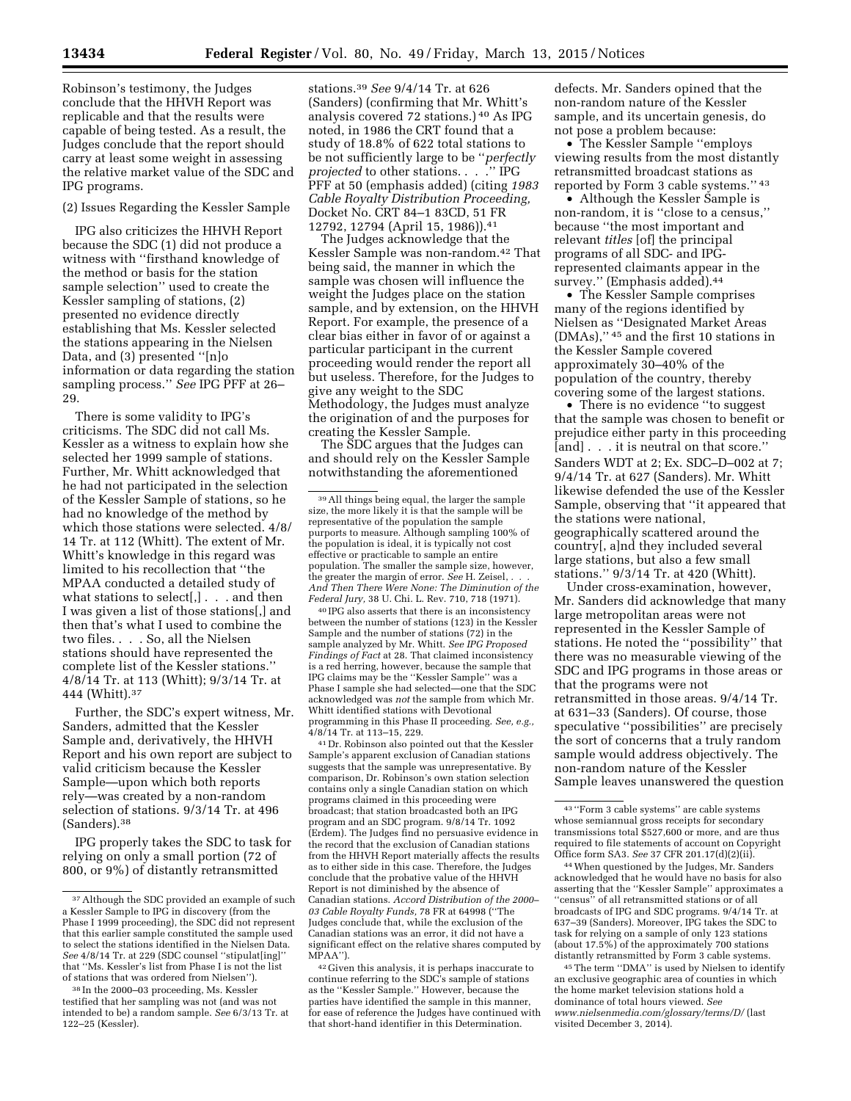Robinson's testimony, the Judges conclude that the HHVH Report was replicable and that the results were capable of being tested. As a result, the Judges conclude that the report should carry at least some weight in assessing the relative market value of the SDC and IPG programs.

(2) Issues Regarding the Kessler Sample

IPG also criticizes the HHVH Report because the SDC (1) did not produce a witness with ''firsthand knowledge of the method or basis for the station sample selection'' used to create the Kessler sampling of stations, (2) presented no evidence directly establishing that Ms. Kessler selected the stations appearing in the Nielsen Data, and (3) presented ''[n]o information or data regarding the station sampling process.'' *See* IPG PFF at 26– 29.

There is some validity to IPG's criticisms. The SDC did not call Ms. Kessler as a witness to explain how she selected her 1999 sample of stations. Further, Mr. Whitt acknowledged that he had not participated in the selection of the Kessler Sample of stations, so he had no knowledge of the method by which those stations were selected. 4/8/ 14 Tr. at 112 (Whitt). The extent of Mr. Whitt's knowledge in this regard was limited to his recollection that ''the MPAA conducted a detailed study of what stations to select[,] . . . and then I was given a list of those stations[,] and then that's what I used to combine the two files. . . . So, all the Nielsen stations should have represented the complete list of the Kessler stations.'' 4/8/14 Tr. at 113 (Whitt); 9/3/14 Tr. at 444 (Whitt).37

Further, the SDC's expert witness, Mr. Sanders, admitted that the Kessler Sample and, derivatively, the HHVH Report and his own report are subject to valid criticism because the Kessler Sample—upon which both reports rely—was created by a non-random selection of stations. 9/3/14 Tr. at 496 (Sanders).38

IPG properly takes the SDC to task for relying on only a small portion (72 of 800, or 9%) of distantly retransmitted

stations.39 *See* 9/4/14 Tr. at 626 (Sanders) (confirming that Mr. Whitt's analysis covered 72 stations.) 40 As IPG noted, in 1986 the CRT found that a study of 18.8% of 622 total stations to be not sufficiently large to be ''*perfectly projected* to other stations. . . .'' IPG PFF at 50 (emphasis added) (citing *1983 Cable Royalty Distribution Proceeding,*  Docket No. CRT 84–1 83CD, 51 FR 12792, 12794 (April 15, 1986)).41

The Judges acknowledge that the Kessler Sample was non-random.42 That being said, the manner in which the sample was chosen will influence the weight the Judges place on the station sample, and by extension, on the HHVH Report. For example, the presence of a clear bias either in favor of or against a particular participant in the current proceeding would render the report all but useless. Therefore, for the Judges to give any weight to the SDC Methodology, the Judges must analyze the origination of and the purposes for creating the Kessler Sample.

The SDC argues that the Judges can and should rely on the Kessler Sample notwithstanding the aforementioned

40 IPG also asserts that there is an inconsistency between the number of stations (123) in the Kessler Sample and the number of stations (72) in the sample analyzed by Mr. Whitt. *See IPG Proposed Findings of Fact* at 28. That claimed inconsistency is a red herring, however, because the sample that IPG claims may be the ''Kessler Sample'' was a Phase I sample she had selected—one that the SDC acknowledged was *not* the sample from which Mr. Whitt identified stations with Devotional programming in this Phase II proceeding. *See, e.g.,*  4/8/14 Tr. at 113–15, 229.

41 Dr. Robinson also pointed out that the Kessler Sample's apparent exclusion of Canadian stations suggests that the sample was unrepresentative. By comparison, Dr. Robinson's own station selection contains only a single Canadian station on which programs claimed in this proceeding were broadcast; that station broadcasted both an IPG program and an SDC program. 9/8/14 Tr. 1092 (Erdem). The Judges find no persuasive evidence in the record that the exclusion of Canadian stations from the HHVH Report materially affects the results as to either side in this case. Therefore, the Judges conclude that the probative value of the HHVH Report is not diminished by the absence of Canadian stations. *Accord Distribution of the 2000– 03 Cable Royalty Funds,* 78 FR at 64998 (''The Judges conclude that, while the exclusion of the Canadian stations was an error, it did not have a significant effect on the relative shares computed by MPAA'').

42 Given this analysis, it is perhaps inaccurate to continue referring to the SDC's sample of stations as the ''Kessler Sample.'' However, because the parties have identified the sample in this manner, for ease of reference the Judges have continued with that short-hand identifier in this Determination.

defects. Mr. Sanders opined that the non-random nature of the Kessler sample, and its uncertain genesis, do not pose a problem because:

• The Kessler Sample ''employs viewing results from the most distantly retransmitted broadcast stations as reported by Form 3 cable systems.'' 43

• Although the Kessler Sample is non-random, it is ''close to a census,'' because ''the most important and relevant *titles* [of] the principal programs of all SDC- and IPGrepresented claimants appear in the survey." (Emphasis added).<sup>44</sup>

• The Kessler Sample comprises many of the regions identified by Nielsen as ''Designated Market Areas (DMAs),'' 45 and the first 10 stations in the Kessler Sample covered approximately 30–40% of the population of the country, thereby covering some of the largest stations.

• There is no evidence ''to suggest that the sample was chosen to benefit or prejudice either party in this proceeding [and] . . . it is neutral on that score.'' Sanders WDT at 2; Ex. SDC–D–002 at 7; 9/4/14 Tr. at 627 (Sanders). Mr. Whitt likewise defended the use of the Kessler Sample, observing that ''it appeared that the stations were national, geographically scattered around the country[, a]nd they included several large stations, but also a few small stations.'' 9/3/14 Tr. at 420 (Whitt).

Under cross-examination, however, Mr. Sanders did acknowledge that many large metropolitan areas were not represented in the Kessler Sample of stations. He noted the ''possibility'' that there was no measurable viewing of the SDC and IPG programs in those areas or that the programs were not retransmitted in those areas. 9/4/14 Tr. at 631–33 (Sanders). Of course, those speculative ''possibilities'' are precisely the sort of concerns that a truly random sample would address objectively. The non-random nature of the Kessler Sample leaves unanswered the question

44When questioned by the Judges, Mr. Sanders acknowledged that he would have no basis for also asserting that the ''Kessler Sample'' approximates a ''census'' of all retransmitted stations or of all broadcasts of IPG and SDC programs. 9/4/14 Tr. at 637–39 (Sanders). Moreover, IPG takes the SDC to task for relying on a sample of only 123 stations (about 17.5%) of the approximately 700 stations distantly retransmitted by Form 3 cable systems.

45The term ''DMA'' is used by Nielsen to identify an exclusive geographic area of counties in which the home market television stations hold a dominance of total hours viewed. *See [www.nielsenmedia.com/glossary/terms/D/](http://www.nielsenmedia.com/glossary/terms/D/)* (last visited December 3, 2014).

<sup>37</sup>Although the SDC provided an example of such a Kessler Sample to IPG in discovery (from the Phase I 1999 proceeding), the SDC did not represent that this earlier sample constituted the sample used to select the stations identified in the Nielsen Data. *See* 4/8/14 Tr. at 229 (SDC counsel ''stipulat[ing]'' that ''Ms. Kessler's list from Phase I is not the list of stations that was ordered from Nielsen'').

<sup>38</sup> In the 2000–03 proceeding, Ms. Kessler testified that her sampling was not (and was not intended to be) a random sample. *See* 6/3/13 Tr. at 122–25 (Kessler).

<sup>39</sup>All things being equal, the larger the sample size, the more likely it is that the sample will be representative of the population the sample purports to measure. Although sampling 100% of the population is ideal, it is typically not cost effective or practicable to sample an entire population. The smaller the sample size, however, the greater the margin of error. *See* H. Zeisel, *. . . And Then There Were None: The Diminution of the Federal Jury,* 38 U. Chi. L. Rev. 710, 718 (1971).

<sup>43</sup> ''Form 3 cable systems'' are cable systems whose semiannual gross receipts for secondary transmissions total \$527,600 or more, and are thus required to file statements of account on Copyright Office form SA3. *See* 37 CFR 201.17(d)(2)(ii).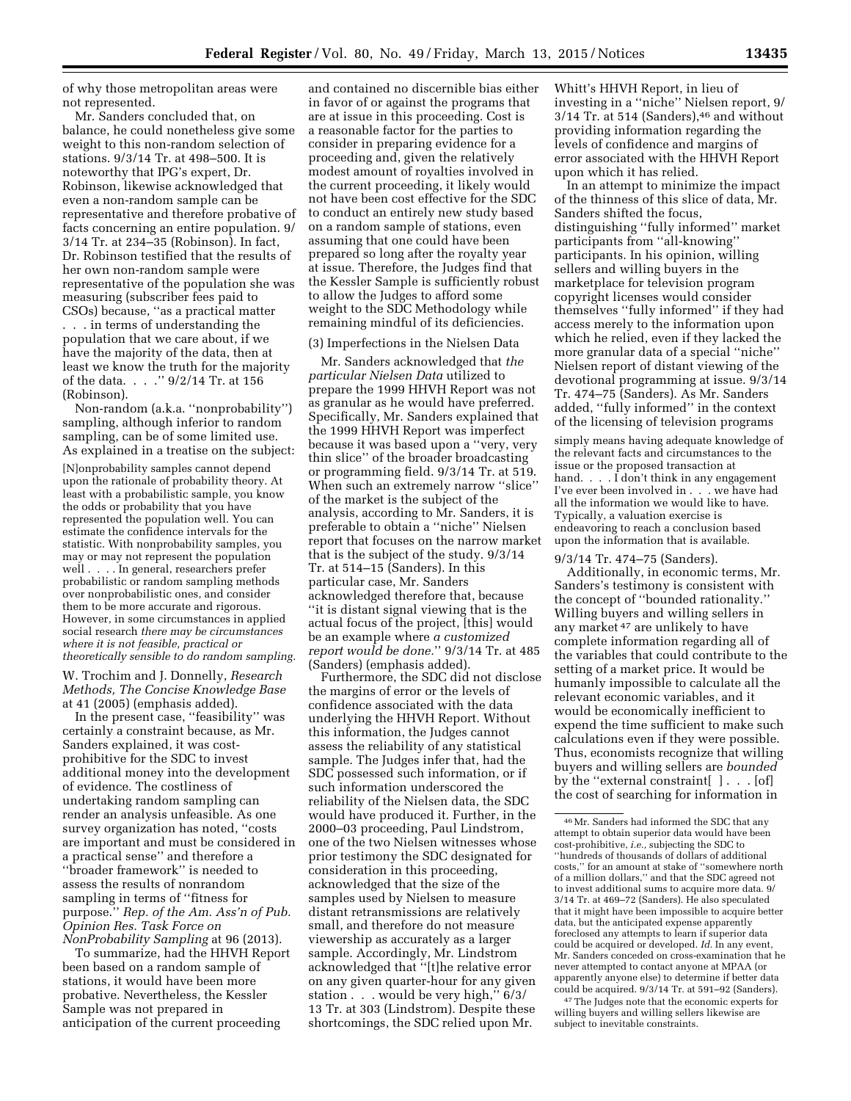of why those metropolitan areas were not represented.

Mr. Sanders concluded that, on balance, he could nonetheless give some weight to this non-random selection of stations. 9/3/14 Tr. at 498–500. It is noteworthy that IPG's expert, Dr. Robinson, likewise acknowledged that even a non-random sample can be representative and therefore probative of facts concerning an entire population. 9/ 3/14 Tr. at 234–35 (Robinson). In fact, Dr. Robinson testified that the results of her own non-random sample were representative of the population she was measuring (subscriber fees paid to CSOs) because, ''as a practical matter . . . in terms of understanding the population that we care about, if we have the majority of the data, then at least we know the truth for the majority of the data. . . .'' 9/2/14 Tr. at 156 (Robinson).

Non-random (a.k.a. ''nonprobability'') sampling, although inferior to random sampling, can be of some limited use. As explained in a treatise on the subject:

[N]onprobability samples cannot depend upon the rationale of probability theory. At least with a probabilistic sample, you know the odds or probability that you have represented the population well. You can estimate the confidence intervals for the statistic. With nonprobability samples, you may or may not represent the population well . . . . In general, researchers prefer probabilistic or random sampling methods over nonprobabilistic ones, and consider them to be more accurate and rigorous. However, in some circumstances in applied social research *there may be circumstances where it is not feasible, practical or theoretically sensible to do random sampling.* 

W. Trochim and J. Donnelly, *Research Methods, The Concise Knowledge Base*  at 41 (2005) (emphasis added).

In the present case, ''feasibility'' was certainly a constraint because, as Mr. Sanders explained, it was costprohibitive for the SDC to invest additional money into the development of evidence. The costliness of undertaking random sampling can render an analysis unfeasible. As one survey organization has noted, ''costs are important and must be considered in a practical sense'' and therefore a ''broader framework'' is needed to assess the results of nonrandom sampling in terms of ''fitness for purpose.'' *Rep. of the Am. Ass'n of Pub. Opinion Res. Task Force on NonProbability Sampling* at 96 (2013).

To summarize, had the HHVH Report been based on a random sample of stations, it would have been more probative. Nevertheless, the Kessler Sample was not prepared in anticipation of the current proceeding

and contained no discernible bias either in favor of or against the programs that are at issue in this proceeding. Cost is a reasonable factor for the parties to consider in preparing evidence for a proceeding and, given the relatively modest amount of royalties involved in the current proceeding, it likely would not have been cost effective for the SDC to conduct an entirely new study based on a random sample of stations, even assuming that one could have been prepared so long after the royalty year at issue. Therefore, the Judges find that the Kessler Sample is sufficiently robust to allow the Judges to afford some weight to the SDC Methodology while remaining mindful of its deficiencies.

(3) Imperfections in the Nielsen Data

Mr. Sanders acknowledged that *the particular Nielsen Data* utilized to prepare the 1999 HHVH Report was not as granular as he would have preferred. Specifically, Mr. Sanders explained that the 1999 HHVH Report was imperfect because it was based upon a ''very, very thin slice'' of the broader broadcasting or programming field. 9/3/14 Tr. at 519. When such an extremely narrow ''slice'' of the market is the subject of the analysis, according to Mr. Sanders, it is preferable to obtain a ''niche'' Nielsen report that focuses on the narrow market that is the subject of the study. 9/3/14 Tr. at 514–15 (Sanders). In this particular case, Mr. Sanders acknowledged therefore that, because ''it is distant signal viewing that is the actual focus of the project, [this] would be an example where *a customized report would be done.*'' 9/3/14 Tr. at 485 (Sanders) (emphasis added).

Furthermore, the SDC did not disclose the margins of error or the levels of confidence associated with the data underlying the HHVH Report. Without this information, the Judges cannot assess the reliability of any statistical sample. The Judges infer that, had the SDC possessed such information, or if such information underscored the reliability of the Nielsen data, the SDC would have produced it. Further, in the 2000–03 proceeding, Paul Lindstrom, one of the two Nielsen witnesses whose prior testimony the SDC designated for consideration in this proceeding, acknowledged that the size of the samples used by Nielsen to measure distant retransmissions are relatively small, and therefore do not measure viewership as accurately as a larger sample. Accordingly, Mr. Lindstrom acknowledged that ''[t]he relative error on any given quarter-hour for any given station . . . would be very high,'' 6/3/ 13 Tr. at 303 (Lindstrom). Despite these shortcomings, the SDC relied upon Mr.

Whitt's HHVH Report, in lieu of investing in a ''niche'' Nielsen report, 9/  $3/14$  Tr. at 514 (Sanders), $46$  and without providing information regarding the levels of confidence and margins of error associated with the HHVH Report upon which it has relied.

In an attempt to minimize the impact of the thinness of this slice of data, Mr. Sanders shifted the focus, distinguishing ''fully informed'' market participants from ''all-knowing'' participants. In his opinion, willing sellers and willing buyers in the marketplace for television program copyright licenses would consider themselves ''fully informed'' if they had access merely to the information upon which he relied, even if they lacked the more granular data of a special ''niche'' Nielsen report of distant viewing of the devotional programming at issue. 9/3/14 Tr. 474–75 (Sanders). As Mr. Sanders added, ''fully informed'' in the context of the licensing of television programs

simply means having adequate knowledge of the relevant facts and circumstances to the issue or the proposed transaction at hand.  $\ldots$   $\bar{1}$  don't think in any engagement I've ever been involved in . . . we have had all the information we would like to have. Typically, a valuation exercise is endeavoring to reach a conclusion based upon the information that is available.

### 9/3/14 Tr. 474–75 (Sanders).

Additionally, in economic terms, Mr. Sanders's testimony is consistent with the concept of ''bounded rationality.'' Willing buyers and willing sellers in any market 47 are unlikely to have complete information regarding all of the variables that could contribute to the setting of a market price. It would be humanly impossible to calculate all the relevant economic variables, and it would be economically inefficient to expend the time sufficient to make such calculations even if they were possible. Thus, economists recognize that willing buyers and willing sellers are *bounded*  by the "external constraint[ ]. . . [of] the cost of searching for information in

47The Judges note that the economic experts for willing buyers and willing sellers likewise are subject to inevitable constraints.

<sup>46</sup>Mr. Sanders had informed the SDC that any attempt to obtain superior data would have been cost-prohibitive, *i.e.,* subjecting the SDC to ''hundreds of thousands of dollars of additional costs,'' for an amount at stake of ''somewhere north of a million dollars,'' and that the SDC agreed not to invest additional sums to acquire more data. 9/ 3/14 Tr. at 469–72 (Sanders). He also speculated that it might have been impossible to acquire better data, but the anticipated expense apparently foreclosed any attempts to learn if superior data could be acquired or developed. *Id.* In any event, Mr. Sanders conceded on cross-examination that he never attempted to contact anyone at MPAA (or apparently anyone else) to determine if better data could be acquired. 9/3/14 Tr. at 591–92 (Sanders).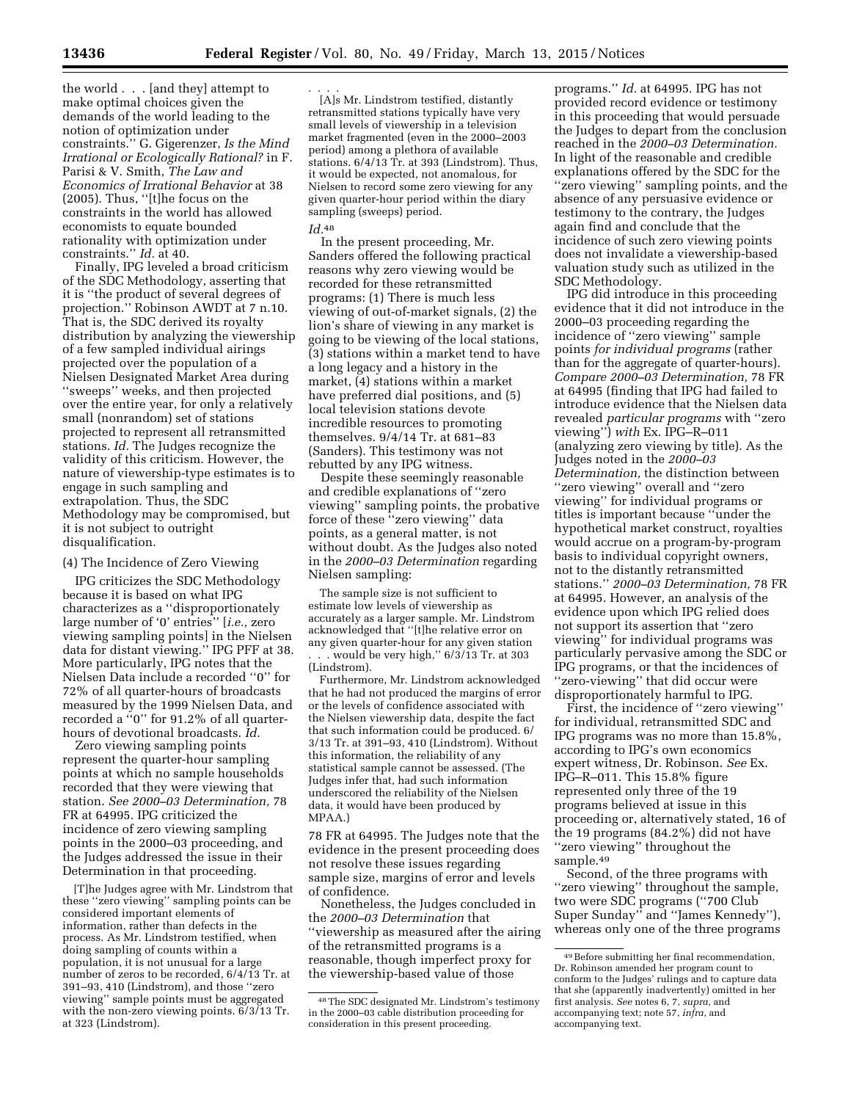the world . . . [and they] attempt to make optimal choices given the demands of the world leading to the notion of optimization under constraints.'' G. Gigerenzer, *Is the Mind Irrational or Ecologically Rational?* in F. Parisi & V. Smith, *The Law and Economics of Irrational Behavior* at 38 (2005). Thus, ''[t]he focus on the constraints in the world has allowed economists to equate bounded rationality with optimization under constraints.'' *Id.* at 40.

Finally, IPG leveled a broad criticism of the SDC Methodology, asserting that it is ''the product of several degrees of projection.'' Robinson AWDT at 7 n.10. That is, the SDC derived its royalty distribution by analyzing the viewership of a few sampled individual airings projected over the population of a Nielsen Designated Market Area during ''sweeps'' weeks, and then projected over the entire year, for only a relatively small (nonrandom) set of stations projected to represent all retransmitted stations. *Id.* The Judges recognize the validity of this criticism. However, the nature of viewership-type estimates is to engage in such sampling and extrapolation. Thus, the SDC Methodology may be compromised, but it is not subject to outright disqualification.

(4) The Incidence of Zero Viewing

IPG criticizes the SDC Methodology because it is based on what IPG characterizes as a ''disproportionately large number of '0' entries'' [*i.e.,* zero viewing sampling points] in the Nielsen data for distant viewing.'' IPG PFF at 38. More particularly, IPG notes that the Nielsen Data include a recorded ''0'' for 72% of all quarter-hours of broadcasts measured by the 1999 Nielsen Data, and recorded a ''0'' for 91.2% of all quarterhours of devotional broadcasts. *Id.* 

Zero viewing sampling points represent the quarter-hour sampling points at which no sample households recorded that they were viewing that station. *See 2000–03 Determination,* 78 FR at 64995. IPG criticized the incidence of zero viewing sampling points in the 2000–03 proceeding, and the Judges addressed the issue in their Determination in that proceeding.

[T]he Judges agree with Mr. Lindstrom that these ''zero viewing'' sampling points can be considered important elements of information, rather than defects in the process. As Mr. Lindstrom testified, when doing sampling of counts within a population, it is not unusual for a large number of zeros to be recorded, 6/4/13 Tr. at 391–93, 410 (Lindstrom), and those ''zero viewing'' sample points must be aggregated with the non-zero viewing points. 6/3/13 Tr. at 323 (Lindstrom).

. . . . [A]s Mr. Lindstrom testified, distantly retransmitted stations typically have very small levels of viewership in a television market fragmented (even in the 2000–2003 period) among a plethora of available stations.  $6/4/13$  Tr. at 393 (Lindstrom). Thus, it would be expected, not anomalous, for Nielsen to record some zero viewing for any given quarter-hour period within the diary sampling (sweeps) period.

# *Id.*48

In the present proceeding, Mr. Sanders offered the following practical reasons why zero viewing would be recorded for these retransmitted programs: (1) There is much less viewing of out-of-market signals, (2) the lion's share of viewing in any market is going to be viewing of the local stations, (3) stations within a market tend to have a long legacy and a history in the market, (4) stations within a market have preferred dial positions, and (5) local television stations devote incredible resources to promoting themselves. 9/4/14 Tr. at 681–83 (Sanders). This testimony was not rebutted by any IPG witness.

Despite these seemingly reasonable and credible explanations of ''zero viewing'' sampling points, the probative force of these ''zero viewing'' data points, as a general matter, is not without doubt. As the Judges also noted in the *2000–03 Determination* regarding Nielsen sampling:

The sample size is not sufficient to estimate low levels of viewership as accurately as a larger sample. Mr. Lindstrom acknowledged that ''[t]he relative error on any given quarter-hour for any given station . would be very high,"  $6/3/13$  Tr. at 303 (Lindstrom).

Furthermore, Mr. Lindstrom acknowledged that he had not produced the margins of error or the levels of confidence associated with the Nielsen viewership data, despite the fact that such information could be produced. 6/ 3/13 Tr. at 391–93, 410 (Lindstrom). Without this information, the reliability of any statistical sample cannot be assessed. (The Judges infer that, had such information underscored the reliability of the Nielsen data, it would have been produced by MPAA.)

78 FR at 64995. The Judges note that the evidence in the present proceeding does not resolve these issues regarding sample size, margins of error and levels of confidence.

Nonetheless, the Judges concluded in the *2000–03 Determination* that ''viewership as measured after the airing of the retransmitted programs is a reasonable, though imperfect proxy for the viewership-based value of those

programs.'' *Id.* at 64995. IPG has not provided record evidence or testimony in this proceeding that would persuade the Judges to depart from the conclusion reached in the *2000–03 Determination.*  In light of the reasonable and credible explanations offered by the SDC for the ''zero viewing'' sampling points, and the absence of any persuasive evidence or testimony to the contrary, the Judges again find and conclude that the incidence of such zero viewing points does not invalidate a viewership-based valuation study such as utilized in the SDC Methodology.

IPG did introduce in this proceeding evidence that it did not introduce in the 2000–03 proceeding regarding the incidence of ''zero viewing'' sample points *for individual programs* (rather than for the aggregate of quarter-hours). *Compare 2000–03 Determination,* 78 FR at 64995 (finding that IPG had failed to introduce evidence that the Nielsen data revealed *particular programs* with ''zero viewing'') *with* Ex. IPG–R–011 (analyzing zero viewing by title). As the Judges noted in the *2000–03 Determination,* the distinction between ''zero viewing'' overall and ''zero viewing'' for individual programs or titles is important because ''under the hypothetical market construct, royalties would accrue on a program-by-program basis to individual copyright owners, not to the distantly retransmitted stations.'' *2000–03 Determination,* 78 FR at 64995. However, an analysis of the evidence upon which IPG relied does not support its assertion that ''zero viewing'' for individual programs was particularly pervasive among the SDC or IPG programs, or that the incidences of ''zero-viewing'' that did occur were disproportionately harmful to IPG.

First, the incidence of ''zero viewing'' for individual, retransmitted SDC and IPG programs was no more than 15.8%, according to IPG's own economics expert witness, Dr. Robinson. *See* Ex. IPG–R–011. This 15.8% figure represented only three of the 19 programs believed at issue in this proceeding or, alternatively stated, 16 of the 19 programs (84.2%) did not have ''zero viewing'' throughout the sample.49

Second, of the three programs with "zero viewing" throughout the sample, two were SDC programs (''700 Club Super Sunday'' and ''James Kennedy''), whereas only one of the three programs

<sup>48</sup>The SDC designated Mr. Lindstrom's testimony in the 2000–03 cable distribution proceeding for consideration in this present proceeding.

<sup>49</sup>Before submitting her final recommendation, Dr. Robinson amended her program count to conform to the Judges' rulings and to capture data that she (apparently inadvertently) omitted in her first analysis. *See* notes 6, 7, *supra,* and accompanying text; note 57, *infra,* and accompanying text.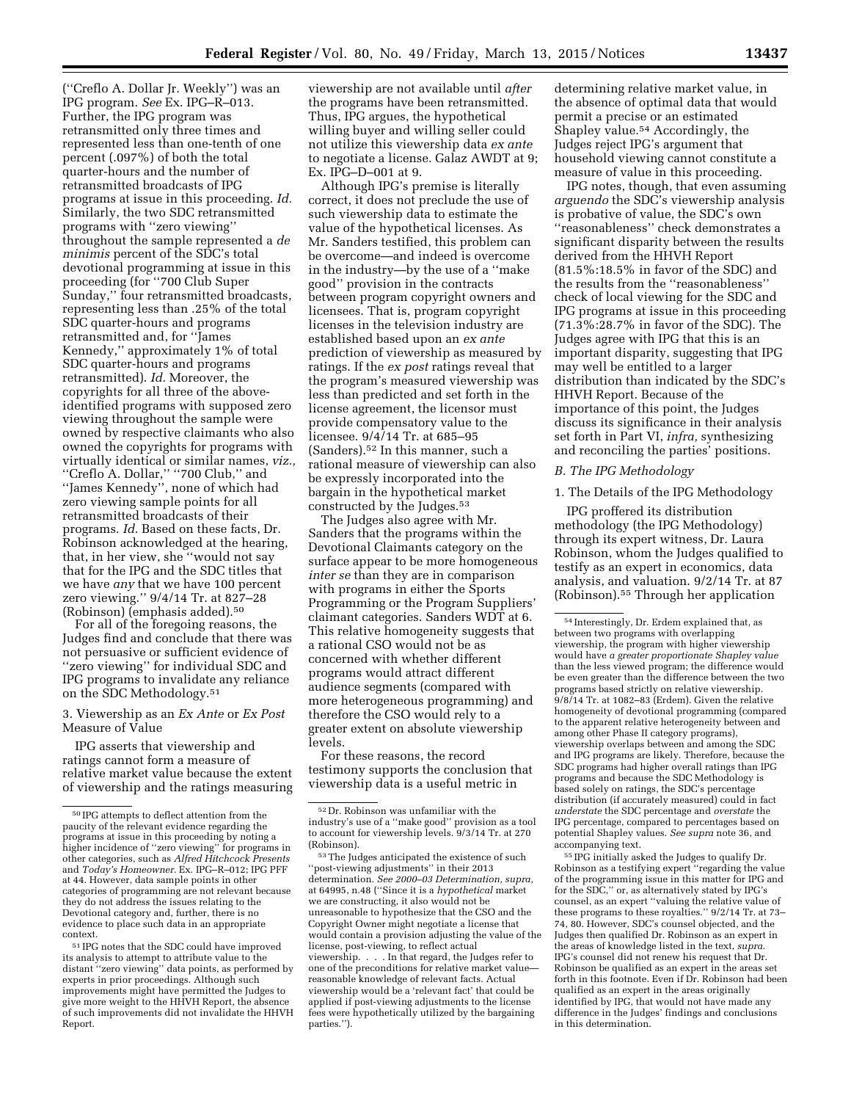(''Creflo A. Dollar Jr. Weekly'') was an IPG program. *See* Ex. IPG–R–013. Further, the IPG program was retransmitted only three times and represented less than one-tenth of one percent (.097%) of both the total quarter-hours and the number of retransmitted broadcasts of IPG programs at issue in this proceeding. *Id.*  Similarly, the two SDC retransmitted programs with ''zero viewing'' throughout the sample represented a *de minimis* percent of the SDC's total devotional programming at issue in this proceeding (for ''700 Club Super Sunday,'' four retransmitted broadcasts, representing less than .25% of the total SDC quarter-hours and programs retransmitted and, for ''James Kennedy,'' approximately 1% of total SDC quarter-hours and programs retransmitted). *Id.* Moreover, the copyrights for all three of the aboveidentified programs with supposed zero viewing throughout the sample were owned by respective claimants who also owned the copyrights for programs with virtually identical or similar names, *viz.,*  ''Creflo A. Dollar,'' ''700 Club,'' and ''James Kennedy'', none of which had zero viewing sample points for all retransmitted broadcasts of their programs. *Id.* Based on these facts, Dr. Robinson acknowledged at the hearing, that, in her view, she ''would not say that for the IPG and the SDC titles that we have *any* that we have 100 percent zero viewing.'' 9/4/14 Tr. at 827–28 (Robinson) (emphasis added).50

For all of the foregoing reasons, the Judges find and conclude that there was not persuasive or sufficient evidence of ''zero viewing'' for individual SDC and IPG programs to invalidate any reliance on the SDC Methodology.51

### 3. Viewership as an *Ex Ante* or *Ex Post*  Measure of Value

IPG asserts that viewership and ratings cannot form a measure of relative market value because the extent of viewership and the ratings measuring

51 IPG notes that the SDC could have improved its analysis to attempt to attribute value to the distant ''zero viewing'' data points, as performed by experts in prior proceedings. Although such improvements might have permitted the Judges to give more weight to the HHVH Report, the absence of such improvements did not invalidate the HHVH Report.

viewership are not available until *after*  the programs have been retransmitted. Thus, IPG argues, the hypothetical willing buyer and willing seller could not utilize this viewership data *ex ante*  to negotiate a license. Galaz AWDT at 9; Ex. IPG–D–001 at 9.

Although IPG's premise is literally correct, it does not preclude the use of such viewership data to estimate the value of the hypothetical licenses. As Mr. Sanders testified, this problem can be overcome—and indeed is overcome in the industry—by the use of a ''make good'' provision in the contracts between program copyright owners and licensees. That is, program copyright licenses in the television industry are established based upon an *ex ante*  prediction of viewership as measured by ratings. If the *ex post* ratings reveal that the program's measured viewership was less than predicted and set forth in the license agreement, the licensor must provide compensatory value to the licensee. 9/4/14 Tr. at 685–95 (Sanders).52 In this manner, such a rational measure of viewership can also be expressly incorporated into the bargain in the hypothetical market constructed by the Judges.53

The Judges also agree with Mr. Sanders that the programs within the Devotional Claimants category on the surface appear to be more homogeneous *inter se* than they are in comparison with programs in either the Sports Programming or the Program Suppliers' claimant categories. Sanders WDT at 6. This relative homogeneity suggests that a rational CSO would not be as concerned with whether different programs would attract different audience segments (compared with more heterogeneous programming) and therefore the CSO would rely to a greater extent on absolute viewership levels.

For these reasons, the record testimony supports the conclusion that viewership data is a useful metric in

determining relative market value, in the absence of optimal data that would permit a precise or an estimated Shapley value.<sup>54</sup> Accordingly, the Judges reject IPG's argument that household viewing cannot constitute a measure of value in this proceeding.

IPG notes, though, that even assuming *arguendo* the SDC's viewership analysis is probative of value, the SDC's own ''reasonableness'' check demonstrates a significant disparity between the results derived from the HHVH Report (81.5%:18.5% in favor of the SDC) and the results from the ''reasonableness'' check of local viewing for the SDC and IPG programs at issue in this proceeding (71.3%:28.7% in favor of the SDC). The Judges agree with IPG that this is an important disparity, suggesting that IPG may well be entitled to a larger distribution than indicated by the SDC's HHVH Report. Because of the importance of this point, the Judges discuss its significance in their analysis set forth in Part VI, *infra,* synthesizing and reconciling the parties' positions.

## *B. The IPG Methodology*

1. The Details of the IPG Methodology

IPG proffered its distribution methodology (the IPG Methodology) through its expert witness, Dr. Laura Robinson, whom the Judges qualified to testify as an expert in economics, data analysis, and valuation. 9/2/14 Tr. at 87 (Robinson).55 Through her application

55 IPG initially asked the Judges to qualify Dr. Robinson as a testifying expert ''regarding the value of the programming issue in this matter for IPG and for the SDC,'' or, as alternatively stated by IPG's counsel, as an expert ''valuing the relative value of these programs to these royalties.'' 9/2/14 Tr. at 73– 74, 80. However, SDC's counsel objected, and the Judges then qualified Dr. Robinson as an expert in the areas of knowledge listed in the text, *supra.*  IPG's counsel did not renew his request that Dr. Robinson be qualified as an expert in the areas set forth in this footnote. Even if Dr. Robinson had been qualified as an expert in the areas originally identified by IPG, that would not have made any difference in the Judges' findings and conclusions in this determination.

<sup>50</sup> IPG attempts to deflect attention from the paucity of the relevant evidence regarding the programs at issue in this proceeding by noting a higher incidence of ''zero viewing'' for programs in other categories, such as *Alfred Hitchcock Presents*  and *Today's Homeowner.* Ex. IPG–R–012; IPG PFF at 44. However, data sample points in other categories of programming are not relevant because they do not address the issues relating to the Devotional category and, further, there is no evidence to place such data in an appropriate context.

<sup>52</sup> Dr. Robinson was unfamiliar with the industry's use of a ''make good'' provision as a tool to account for viewership levels. 9/3/14 Tr. at 270 (Robinson).

<sup>53</sup>The Judges anticipated the existence of such ''post-viewing adjustments'' in their 2013 determination. *See 2000–03 Determination, supra,*  at 64995, n.48 (''Since it is a *hypothetical* market we are constructing, it also would not be unreasonable to hypothesize that the CSO and the Copyright Owner might negotiate a license that would contain a provision adjusting the value of the license, post-viewing, to reflect actual viewership. . . . In that regard, the Judges refer to one of the preconditions for relative market value reasonable knowledge of relevant facts. Actual viewership would be a 'relevant fact' that could be applied if post-viewing adjustments to the license fees were hypothetically utilized by the bargaining parties.'').

<sup>54</sup> Interestingly, Dr. Erdem explained that, as between two programs with overlapping viewership, the program with higher viewership would have *a greater proportionate Shapley value*  than the less viewed program; the difference would be even greater than the difference between the two programs based strictly on relative viewership. 9/8/14 Tr. at 1082–83 (Erdem). Given the relative homogeneity of devotional programming (compared to the apparent relative heterogeneity between and among other Phase II category programs), viewership overlaps between and among the SDC and IPG programs are likely. Therefore, because the SDC programs had higher overall ratings than IPG programs and because the SDC Methodology is based solely on ratings, the SDC's percentage distribution (if accurately measured) could in fact *understate* the SDC percentage and *overstate* the IPG percentage, compared to percentages based on potential Shapley values. *See supra* note 36, and accompanying text.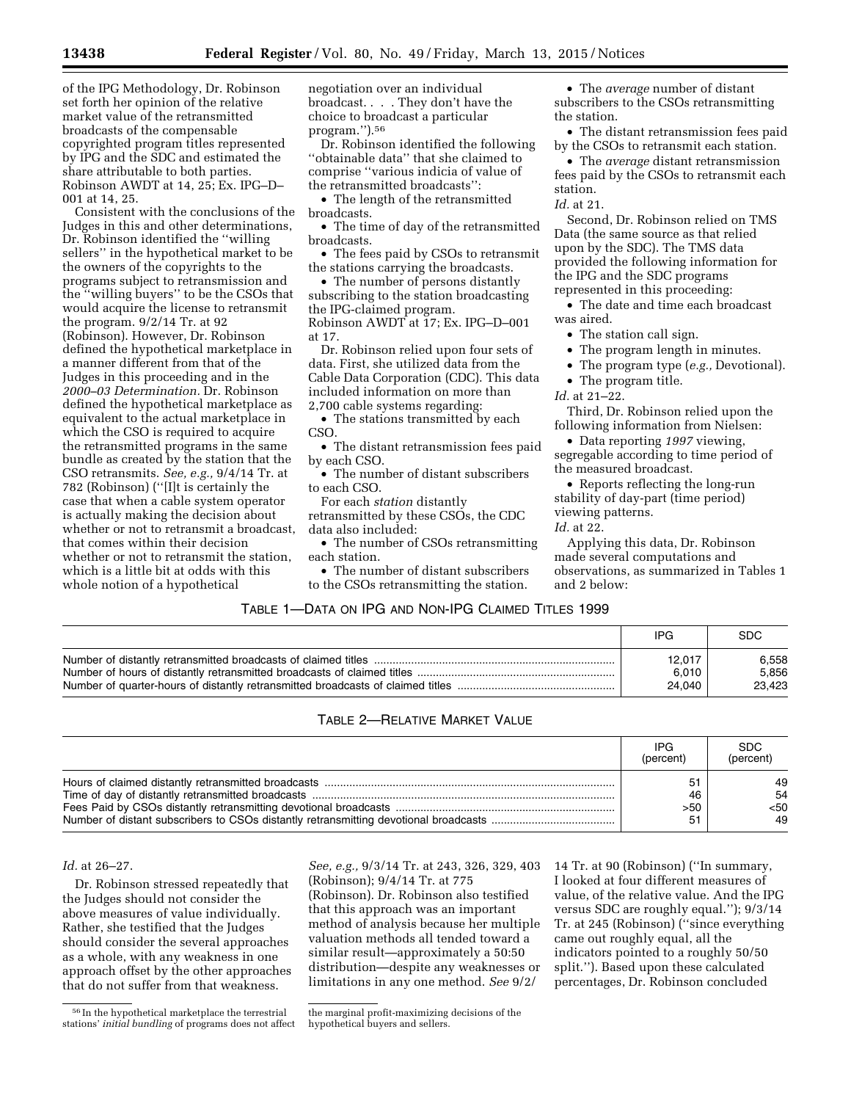of the IPG Methodology, Dr. Robinson set forth her opinion of the relative market value of the retransmitted broadcasts of the compensable copyrighted program titles represented by IPG and the SDC and estimated the share attributable to both parties. Robinson AWDT at 14, 25; Ex. IPG–D– 001 at 14, 25.

Consistent with the conclusions of the Judges in this and other determinations, Dr. Robinson identified the ''willing sellers'' in the hypothetical market to be the owners of the copyrights to the programs subject to retransmission and the ''willing buyers'' to be the CSOs that would acquire the license to retransmit the program. 9/2/14 Tr. at 92 (Robinson). However, Dr. Robinson defined the hypothetical marketplace in a manner different from that of the Judges in this proceeding and in the *2000–03 Determination.* Dr. Robinson defined the hypothetical marketplace as equivalent to the actual marketplace in which the CSO is required to acquire the retransmitted programs in the same bundle as created by the station that the CSO retransmits. *See, e.g.,* 9/4/14 Tr. at 782 (Robinson) (''[I]t is certainly the case that when a cable system operator is actually making the decision about whether or not to retransmit a broadcast, that comes within their decision whether or not to retransmit the station, which is a little bit at odds with this whole notion of a hypothetical

negotiation over an individual broadcast. . . . They don't have the choice to broadcast a particular program.'').56

Dr. Robinson identified the following ''obtainable data'' that she claimed to comprise ''various indicia of value of the retransmitted broadcasts'':

• The length of the retransmitted broadcasts.

• The time of day of the retransmitted broadcasts.

• The fees paid by CSOs to retransmit the stations carrying the broadcasts.

• The number of persons distantly subscribing to the station broadcasting the IPG-claimed program. Robinson AWDT at 17; Ex. IPG–D–001

at 17. Dr. Robinson relied upon four sets of data. First, she utilized data from the Cable Data Corporation (CDC). This data included information on more than 2,700 cable systems regarding:

• The stations transmitted by each CSO.

• The distant retransmission fees paid by each CSO.

• The number of distant subscribers to each CSO.

For each *station* distantly retransmitted by these CSOs, the CDC data also included:

• The number of CSOs retransmitting each station.

• The number of distant subscribers to the CSOs retransmitting the station.

• The *average* number of distant subscribers to the CSOs retransmitting the station.

• The distant retransmission fees paid by the CSOs to retransmit each station.

• The *average* distant retransmission fees paid by the CSOs to retransmit each station.

*Id.* at 21.

Second, Dr. Robinson relied on TMS Data (the same source as that relied upon by the SDC). The TMS data provided the following information for the IPG and the SDC programs represented in this proceeding:

• The date and time each broadcast was aired.

• The station call sign.

• The program length in minutes.

• The program type (*e.g.,* Devotional).

• The program title.

*Id.* at 21–22.

Third, Dr. Robinson relied upon the following information from Nielsen:

• Data reporting *1997* viewing, segregable according to time period of the measured broadcast.

• Reports reflecting the long-run stability of day-part (time period) viewing patterns.

*Id.* at 22.

Applying this data, Dr. Robinson made several computations and observations, as summarized in Tables 1 and 2 below:

## TABLE 1—DATA ON IPG AND NON-IPG CLAIMED TITLES 1999

| IPG    | <b>SDC</b> |
|--------|------------|
| 12.017 | 6.558      |
| 6,010  | 5.856      |
| 24.040 | 23.423     |

# TABLE 2—RELATIVE MARKET VALUE

| <b>IPG</b><br>(percent) | <b>SDC</b><br>(percent) |
|-------------------------|-------------------------|
| 46<br>>50<br>51         | 49<br>54<br><50<br>49   |

## *Id.* at 26–27.

Dr. Robinson stressed repeatedly that the Judges should not consider the above measures of value individually. Rather, she testified that the Judges should consider the several approaches as a whole, with any weakness in one approach offset by the other approaches that do not suffer from that weakness.

*See, e.g.,* 9/3/14 Tr. at 243, 326, 329, 403

(Robinson); 9/4/14 Tr. at 775 (Robinson). Dr. Robinson also testified that this approach was an important method of analysis because her multiple valuation methods all tended toward a similar result—approximately a 50:50 distribution—despite any weaknesses or limitations in any one method. *See* 9/2/

14 Tr. at 90 (Robinson) (''In summary, I looked at four different measures of value, of the relative value. And the IPG versus SDC are roughly equal.''); 9/3/14 Tr. at 245 (Robinson) (''since everything came out roughly equal, all the indicators pointed to a roughly 50/50 split.''). Based upon these calculated percentages, Dr. Robinson concluded

<sup>56</sup> In the hypothetical marketplace the terrestrial stations' *initial bundling* of programs does not affect

the marginal profit-maximizing decisions of the hypothetical buyers and sellers.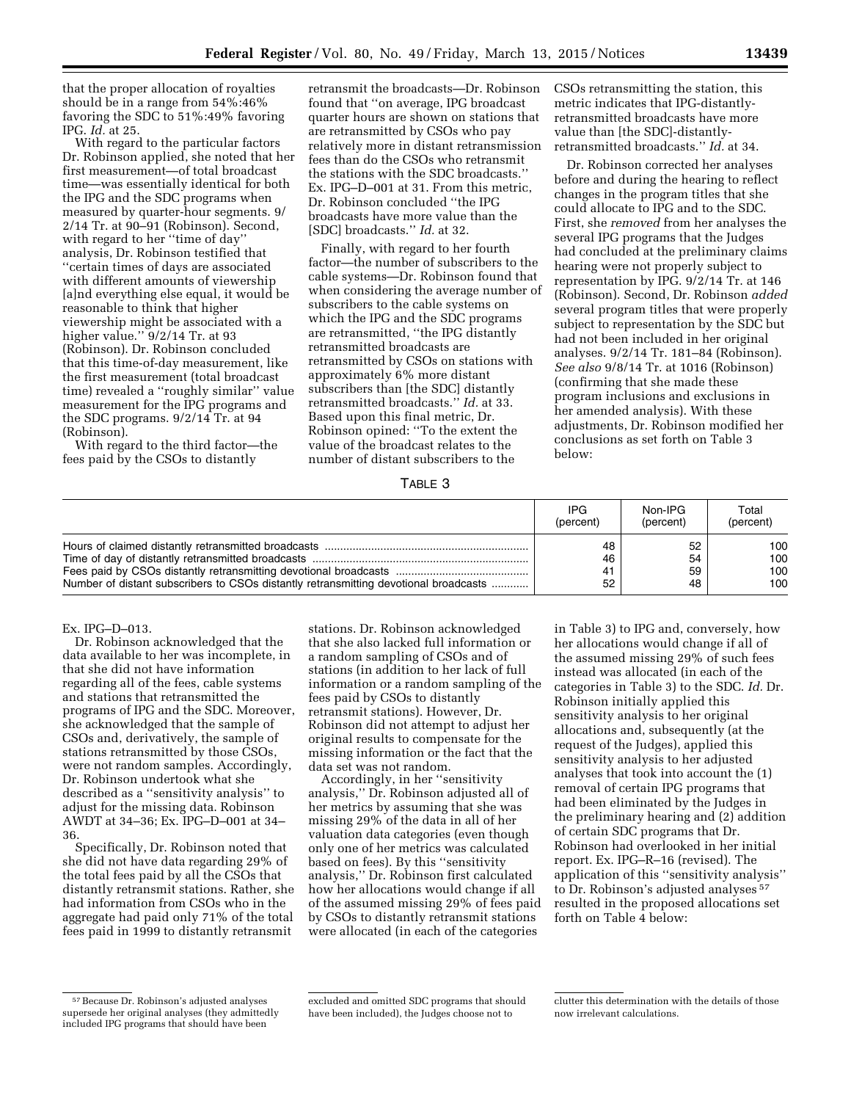that the proper allocation of royalties should be in a range from 54%:46% favoring the SDC to 51%:49% favoring IPG. *Id.* at 25.

With regard to the particular factors Dr. Robinson applied, she noted that her first measurement—of total broadcast time—was essentially identical for both the IPG and the SDC programs when measured by quarter-hour segments. 9/ 2/14 Tr. at 90–91 (Robinson). Second, with regard to her "time of day" analysis, Dr. Robinson testified that ''certain times of days are associated with different amounts of viewership [a]nd everything else equal, it would be reasonable to think that higher viewership might be associated with a higher value." 9/2/14 Tr. at 93 (Robinson). Dr. Robinson concluded that this time-of-day measurement, like the first measurement (total broadcast time) revealed a ''roughly similar'' value measurement for the IPG programs and the SDC programs. 9/2/14 Tr. at 94 (Robinson).

With regard to the third factor—the fees paid by the CSOs to distantly

retransmit the broadcasts—Dr. Robinson found that ''on average, IPG broadcast quarter hours are shown on stations that are retransmitted by CSOs who pay relatively more in distant retransmission fees than do the CSOs who retransmit the stations with the SDC broadcasts.'' Ex. IPG–D–001 at 31. From this metric, Dr. Robinson concluded ''the IPG broadcasts have more value than the [SDC] broadcasts.'' *Id.* at 32.

Finally, with regard to her fourth factor—the number of subscribers to the cable systems—Dr. Robinson found that when considering the average number of subscribers to the cable systems on which the IPG and the SDC programs are retransmitted, ''the IPG distantly retransmitted broadcasts are retransmitted by CSOs on stations with approximately 6% more distant subscribers than [the SDC] distantly retransmitted broadcasts.'' *Id.* at 33. Based upon this final metric, Dr. Robinson opined: ''To the extent the value of the broadcast relates to the number of distant subscribers to the

CSOs retransmitting the station, this metric indicates that IPG-distantlyretransmitted broadcasts have more value than [the SDC]-distantlyretransmitted broadcasts.'' *Id.* at 34.

Dr. Robinson corrected her analyses before and during the hearing to reflect changes in the program titles that she could allocate to IPG and to the SDC. First, she *removed* from her analyses the several IPG programs that the Judges had concluded at the preliminary claims hearing were not properly subject to representation by IPG. 9/2/14 Tr. at 146 (Robinson). Second, Dr. Robinson *added*  several program titles that were properly subject to representation by the SDC but had not been included in her original analyses. 9/2/14 Tr. 181–84 (Robinson). *See also* 9/8/14 Tr. at 1016 (Robinson) (confirming that she made these program inclusions and exclusions in her amended analysis). With these adjustments, Dr. Robinson modified her conclusions as set forth on Table 3 below:

TABLE 3

|                                                                                      | IPG       | Non-IPG   | Total     |
|--------------------------------------------------------------------------------------|-----------|-----------|-----------|
|                                                                                      | (percent) | (percent) | (percent) |
|                                                                                      | 48        | 52        | 100       |
|                                                                                      | 46        | 54        | 100       |
|                                                                                      | 41        | 59        | 100       |
| Number of distant subscribers to CSOs distantly retransmitting devotional broadcasts | 52        | 48        | 100       |

### Ex. IPG–D–013.

Dr. Robinson acknowledged that the data available to her was incomplete, in that she did not have information regarding all of the fees, cable systems and stations that retransmitted the programs of IPG and the SDC. Moreover, she acknowledged that the sample of CSOs and, derivatively, the sample of stations retransmitted by those CSOs, were not random samples. Accordingly, Dr. Robinson undertook what she described as a ''sensitivity analysis'' to adjust for the missing data. Robinson AWDT at 34–36; Ex. IPG–D–001 at 34– 36.

Specifically, Dr. Robinson noted that she did not have data regarding 29% of the total fees paid by all the CSOs that distantly retransmit stations. Rather, she had information from CSOs who in the aggregate had paid only 71% of the total fees paid in 1999 to distantly retransmit

stations. Dr. Robinson acknowledged that she also lacked full information or a random sampling of CSOs and of stations (in addition to her lack of full information or a random sampling of the fees paid by CSOs to distantly retransmit stations). However, Dr. Robinson did not attempt to adjust her original results to compensate for the missing information or the fact that the data set was not random.

Accordingly, in her ''sensitivity analysis,'' Dr. Robinson adjusted all of her metrics by assuming that she was missing 29% of the data in all of her valuation data categories (even though only one of her metrics was calculated based on fees). By this ''sensitivity analysis,'' Dr. Robinson first calculated how her allocations would change if all of the assumed missing 29% of fees paid by CSOs to distantly retransmit stations were allocated (in each of the categories

in Table 3) to IPG and, conversely, how her allocations would change if all of the assumed missing 29% of such fees instead was allocated (in each of the categories in Table 3) to the SDC. *Id.* Dr. Robinson initially applied this sensitivity analysis to her original allocations and, subsequently (at the request of the Judges), applied this sensitivity analysis to her adjusted analyses that took into account the (1) removal of certain IPG programs that had been eliminated by the Judges in the preliminary hearing and (2) addition of certain SDC programs that Dr. Robinson had overlooked in her initial report. Ex. IPG–R–16 (revised). The application of this ''sensitivity analysis'' to Dr. Robinson's adjusted analyses 57 resulted in the proposed allocations set forth on Table 4 below:

<sup>57</sup>Because Dr. Robinson's adjusted analyses supersede her original analyses (they admittedly included IPG programs that should have been

excluded and omitted SDC programs that should have been included), the Judges choose not to

clutter this determination with the details of those now irrelevant calculations.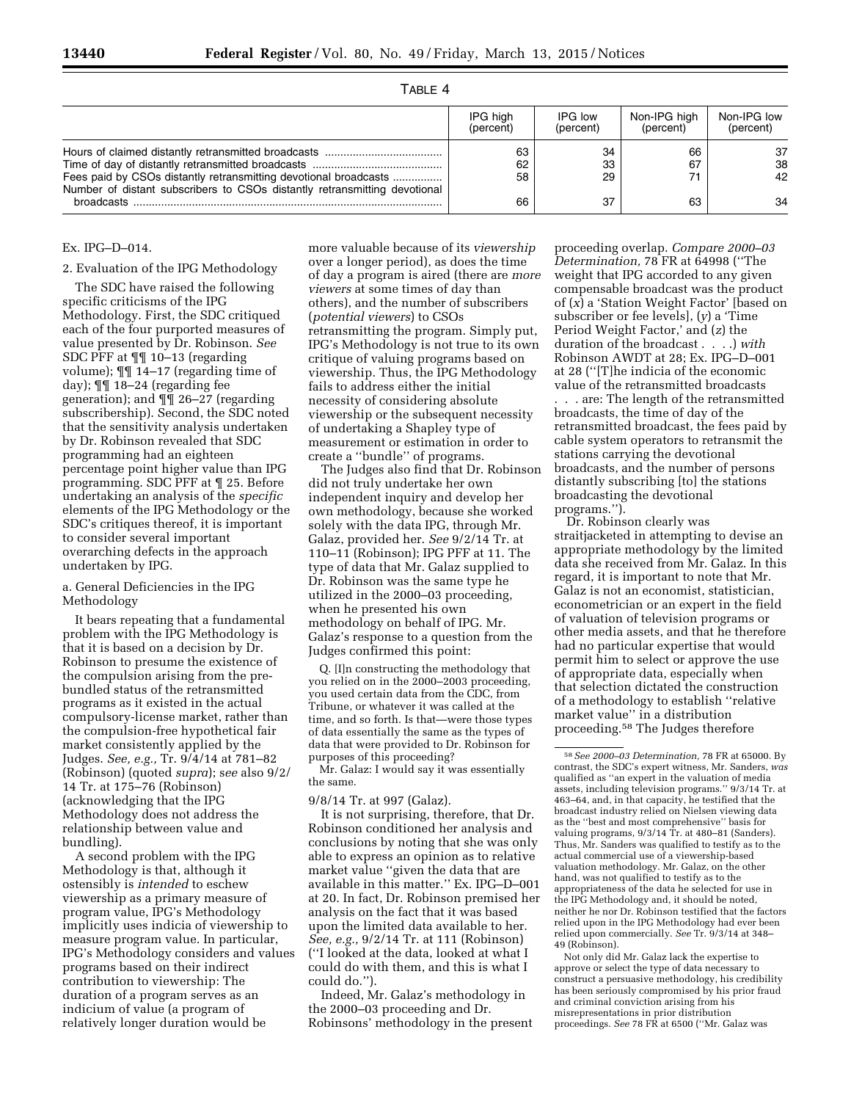## TABLE 4

|                                                                                                                                               | IPG high<br>(percent) | IPG low<br>(percent) | Non-IPG high<br>(percent) | Non-IPG low<br>(percent) |
|-----------------------------------------------------------------------------------------------------------------------------------------------|-----------------------|----------------------|---------------------------|--------------------------|
| Fees paid by CSOs distantly retransmitting devotional broadcasts<br>Number of distant subscribers to CSOs distantly retransmitting devotional | 63<br>62<br>58        | 34<br>33<br>29       | 66<br>67                  | -37<br>38<br>42          |
| <b>broadcasts</b>                                                                                                                             | 66                    | 37                   | 63                        | 34                       |

## Ex. IPG–D–014.

### 2. Evaluation of the IPG Methodology

The SDC have raised the following specific criticisms of the IPG Methodology. First, the SDC critiqued each of the four purported measures of value presented by Dr. Robinson. *See*  SDC PFF at ¶¶ 10–13 (regarding volume); ¶¶ 14–17 (regarding time of day); ¶¶ 18–24 (regarding fee generation); and ¶¶ 26–27 (regarding subscribership). Second, the SDC noted that the sensitivity analysis undertaken by Dr. Robinson revealed that SDC programming had an eighteen percentage point higher value than IPG programming. SDC PFF at ¶ 25. Before undertaking an analysis of the *specific*  elements of the IPG Methodology or the SDC's critiques thereof, it is important to consider several important overarching defects in the approach undertaken by IPG.

## a. General Deficiencies in the IPG Methodology

It bears repeating that a fundamental problem with the IPG Methodology is that it is based on a decision by Dr. Robinson to presume the existence of the compulsion arising from the prebundled status of the retransmitted programs as it existed in the actual compulsory-license market, rather than the compulsion-free hypothetical fair market consistently applied by the Judges. *See, e.g.,* Tr. 9/4/14 at 781–82 (Robinson) (quoted *supra*); s*ee* also 9/2/ 14 Tr. at 175–76 (Robinson) (acknowledging that the IPG Methodology does not address the relationship between value and bundling).

A second problem with the IPG Methodology is that, although it ostensibly is *intended* to eschew viewership as a primary measure of program value, IPG's Methodology implicitly uses indicia of viewership to measure program value. In particular, IPG's Methodology considers and values programs based on their indirect contribution to viewership: The duration of a program serves as an indicium of value (a program of relatively longer duration would be

more valuable because of its *viewership*  over a longer period), as does the time of day a program is aired (there are *more viewers* at some times of day than others), and the number of subscribers (*potential viewers*) to CSOs retransmitting the program. Simply put, IPG's Methodology is not true to its own critique of valuing programs based on viewership. Thus, the IPG Methodology fails to address either the initial necessity of considering absolute viewership or the subsequent necessity of undertaking a Shapley type of measurement or estimation in order to create a ''bundle'' of programs.

The Judges also find that Dr. Robinson did not truly undertake her own independent inquiry and develop her own methodology, because she worked solely with the data IPG, through Mr. Galaz, provided her. *See* 9/2/14 Tr. at 110–11 (Robinson); IPG PFF at 11. The type of data that Mr. Galaz supplied to Dr. Robinson was the same type he utilized in the 2000–03 proceeding, when he presented his own methodology on behalf of IPG. Mr. Galaz's response to a question from the Judges confirmed this point:

Q. [I]n constructing the methodology that you relied on in the 2000–2003 proceeding, you used certain data from the CDC, from Tribune, or whatever it was called at the time, and so forth. Is that—were those types of data essentially the same as the types of data that were provided to Dr. Robinson for purposes of this proceeding?

Mr. Galaz: I would say it was essentially the same.

9/8/14 Tr. at 997 (Galaz).

It is not surprising, therefore, that Dr. Robinson conditioned her analysis and conclusions by noting that she was only able to express an opinion as to relative market value ''given the data that are available in this matter.'' Ex. IPG–D–001 at 20. In fact, Dr. Robinson premised her analysis on the fact that it was based upon the limited data available to her. *See, e.g.,* 9/2/14 Tr. at 111 (Robinson) (''I looked at the data, looked at what I could do with them, and this is what I could do.'').

Indeed, Mr. Galaz's methodology in the 2000–03 proceeding and Dr. Robinsons' methodology in the present

proceeding overlap. *Compare 2000–03 Determination,* 78 FR at 64998 (''The weight that IPG accorded to any given compensable broadcast was the product of (*x*) a 'Station Weight Factor' [based on subscriber or fee levels], (*y*) a 'Time Period Weight Factor,' and (*z*) the duration of the broadcast . . . .) *with*  Robinson AWDT at 28; Ex. IPG–D–001 at 28 (''[T]he indicia of the economic value of the retransmitted broadcasts

. . . are: The length of the retransmitted broadcasts, the time of day of the retransmitted broadcast, the fees paid by cable system operators to retransmit the stations carrying the devotional broadcasts, and the number of persons distantly subscribing [to] the stations broadcasting the devotional programs.'').

Dr. Robinson clearly was straitjacketed in attempting to devise an appropriate methodology by the limited data she received from Mr. Galaz. In this regard, it is important to note that Mr. Galaz is not an economist, statistician, econometrician or an expert in the field of valuation of television programs or other media assets, and that he therefore had no particular expertise that would permit him to select or approve the use of appropriate data, especially when that selection dictated the construction of a methodology to establish ''relative market value'' in a distribution proceeding.58 The Judges therefore

Not only did Mr. Galaz lack the expertise to approve or select the type of data necessary to construct a persuasive methodology, his credibility has been seriously compromised by his prior fraud and criminal conviction arising from his misrepresentations in prior distribution proceedings. *See* 78 FR at 6500 (''Mr. Galaz was

<sup>58</sup>*See 2000–03 Determination,* 78 FR at 65000. By contrast, the SDC's expert witness, Mr. Sanders, *was*  qualified as ''an expert in the valuation of media assets, including television programs.'' 9/3/14 Tr. at 463–64, and, in that capacity, he testified that the broadcast industry relied on Nielsen viewing data as the ''best and most comprehensive'' basis for valuing programs, 9/3/14 Tr. at 480–81 (Sanders). Thus, Mr. Sanders was qualified to testify as to the actual commercial use of a viewership-based valuation methodology. Mr. Galaz, on the other hand, was not qualified to testify as to the appropriateness of the data he selected for use in the IPG Methodology and, it should be noted, neither he nor Dr. Robinson testified that the factors relied upon in the IPG Methodology had ever been relied upon commercially. *See* Tr. 9/3/14 at 348– 49 (Robinson).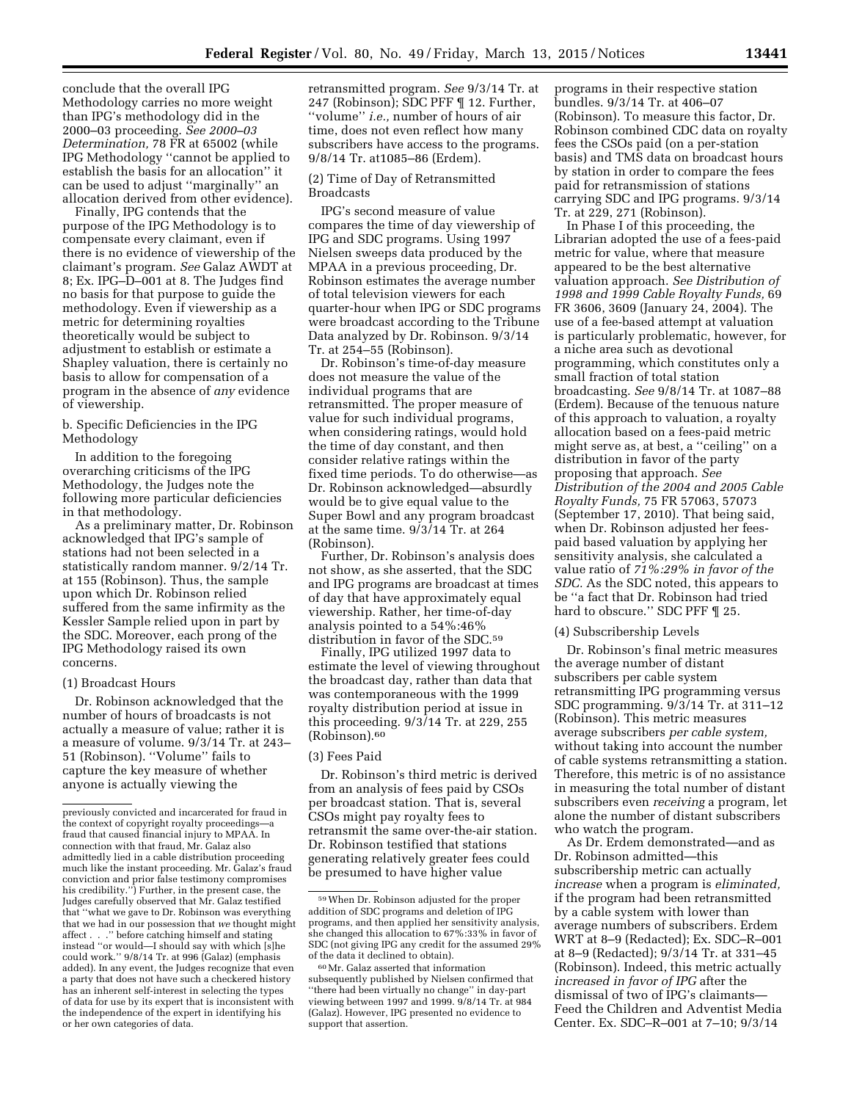conclude that the overall IPG Methodology carries no more weight than IPG's methodology did in the 2000–03 proceeding. *See 2000–03 Determination,* 78 FR at 65002 (while IPG Methodology ''cannot be applied to establish the basis for an allocation'' it can be used to adjust ''marginally'' an allocation derived from other evidence).

Finally, IPG contends that the purpose of the IPG Methodology is to compensate every claimant, even if there is no evidence of viewership of the claimant's program. *See* Galaz AWDT at 8; Ex. IPG–D–001 at 8. The Judges find no basis for that purpose to guide the methodology. Even if viewership as a metric for determining royalties theoretically would be subject to adjustment to establish or estimate a Shapley valuation, there is certainly no basis to allow for compensation of a program in the absence of *any* evidence of viewership.

b. Specific Deficiencies in the IPG Methodology

In addition to the foregoing overarching criticisms of the IPG Methodology, the Judges note the following more particular deficiencies in that methodology.

As a preliminary matter, Dr. Robinson acknowledged that IPG's sample of stations had not been selected in a statistically random manner. 9/2/14 Tr. at 155 (Robinson). Thus, the sample upon which Dr. Robinson relied suffered from the same infirmity as the Kessler Sample relied upon in part by the SDC. Moreover, each prong of the IPG Methodology raised its own concerns.

#### (1) Broadcast Hours

Dr. Robinson acknowledged that the number of hours of broadcasts is not actually a measure of value; rather it is a measure of volume. 9/3/14 Tr. at 243– 51 (Robinson). ''Volume'' fails to capture the key measure of whether anyone is actually viewing the

retransmitted program. *See* 9/3/14 Tr. at 247 (Robinson); SDC PFF ¶ 12. Further, ''volume'' *i.e.,* number of hours of air time, does not even reflect how many subscribers have access to the programs. 9/8/14 Tr. at1085–86 (Erdem).

### (2) Time of Day of Retransmitted Broadcasts

IPG's second measure of value compares the time of day viewership of IPG and SDC programs. Using 1997 Nielsen sweeps data produced by the MPAA in a previous proceeding, Dr. Robinson estimates the average number of total television viewers for each quarter-hour when IPG or SDC programs were broadcast according to the Tribune Data analyzed by Dr. Robinson. 9/3/14 Tr. at 254–55 (Robinson).

Dr. Robinson's time-of-day measure does not measure the value of the individual programs that are retransmitted. The proper measure of value for such individual programs, when considering ratings, would hold the time of day constant, and then consider relative ratings within the fixed time periods. To do otherwise—as Dr. Robinson acknowledged—absurdly would be to give equal value to the Super Bowl and any program broadcast at the same time. 9/3/14 Tr. at 264 (Robinson).

Further, Dr. Robinson's analysis does not show, as she asserted, that the SDC and IPG programs are broadcast at times of day that have approximately equal viewership. Rather, her time-of-day analysis pointed to a 54%:46% distribution in favor of the SDC.59

Finally, IPG utilized 1997 data to estimate the level of viewing throughout the broadcast day, rather than data that was contemporaneous with the 1999 royalty distribution period at issue in this proceeding. 9/3/14 Tr. at 229, 255 (Robinson).60

### (3) Fees Paid

Dr. Robinson's third metric is derived from an analysis of fees paid by CSOs per broadcast station. That is, several CSOs might pay royalty fees to retransmit the same over-the-air station. Dr. Robinson testified that stations generating relatively greater fees could be presumed to have higher value

programs in their respective station bundles. 9/3/14 Tr. at 406–07 (Robinson). To measure this factor, Dr. Robinson combined CDC data on royalty fees the CSOs paid (on a per-station basis) and TMS data on broadcast hours by station in order to compare the fees paid for retransmission of stations carrying SDC and IPG programs. 9/3/14 Tr. at 229, 271 (Robinson).

In Phase I of this proceeding, the Librarian adopted the use of a fees-paid metric for value, where that measure appeared to be the best alternative valuation approach. *See Distribution of 1998 and 1999 Cable Royalty Funds,* 69 FR 3606, 3609 (January 24, 2004). The use of a fee-based attempt at valuation is particularly problematic, however, for a niche area such as devotional programming, which constitutes only a small fraction of total station broadcasting. *See* 9/8/14 Tr. at 1087–88 (Erdem). Because of the tenuous nature of this approach to valuation, a royalty allocation based on a fees-paid metric might serve as, at best, a ''ceiling'' on a distribution in favor of the party proposing that approach. *See Distribution of the 2004 and 2005 Cable Royalty Funds,* 75 FR 57063, 57073 (September 17, 2010). That being said, when Dr. Robinson adjusted her feespaid based valuation by applying her sensitivity analysis, she calculated a value ratio of *71%:29% in favor of the SDC.* As the SDC noted, this appears to be ''a fact that Dr. Robinson had tried hard to obscure." SDC PFF  $\P$  25.

### (4) Subscribership Levels

Dr. Robinson's final metric measures the average number of distant subscribers per cable system retransmitting IPG programming versus SDC programming. 9/3/14 Tr. at 311–12 (Robinson). This metric measures average subscribers *per cable system,*  without taking into account the number of cable systems retransmitting a station. Therefore, this metric is of no assistance in measuring the total number of distant subscribers even *receiving* a program, let alone the number of distant subscribers who watch the program.

As Dr. Erdem demonstrated—and as Dr. Robinson admitted—this subscribership metric can actually *increase* when a program is *eliminated,*  if the program had been retransmitted by a cable system with lower than average numbers of subscribers. Erdem WRT at 8–9 (Redacted); Ex. SDC–R–001 at 8–9 (Redacted); 9/3/14 Tr. at 331–45 (Robinson). Indeed, this metric actually *increased in favor of IPG* after the dismissal of two of IPG's claimants— Feed the Children and Adventist Media Center. Ex. SDC–R–001 at 7–10; 9/3/14

previously convicted and incarcerated for fraud in the context of copyright royalty proceedingsfraud that caused financial injury to MPAA. In connection with that fraud, Mr. Galaz also admittedly lied in a cable distribution proceeding much like the instant proceeding. Mr. Galaz's fraud conviction and prior false testimony compromises his credibility.'') Further, in the present case, the Judges carefully observed that Mr. Galaz testified that ''what we gave to Dr. Robinson was everything that we had in our possession that *we* thought might affect . . .'' before catching himself and stating instead ''or would—I should say with which [s]he could work.'' 9/8/14 Tr. at 996 (Galaz) (emphasis added). In any event, the Judges recognize that even a party that does not have such a checkered history has an inherent self-interest in selecting the types of data for use by its expert that is inconsistent with the independence of the expert in identifying his or her own categories of data.

<sup>59</sup>When Dr. Robinson adjusted for the proper addition of SDC programs and deletion of IPG programs, and then applied her sensitivity analysis, she changed this allocation to 67%:33% in favor of SDC (not giving IPG any credit for the assumed 29% of the data it declined to obtain).

<sup>60</sup>Mr. Galaz asserted that information subsequently published by Nielsen confirmed that ''there had been virtually no change'' in day-part viewing between 1997 and 1999. 9/8/14 Tr. at 984 (Galaz). However, IPG presented no evidence to support that assertion.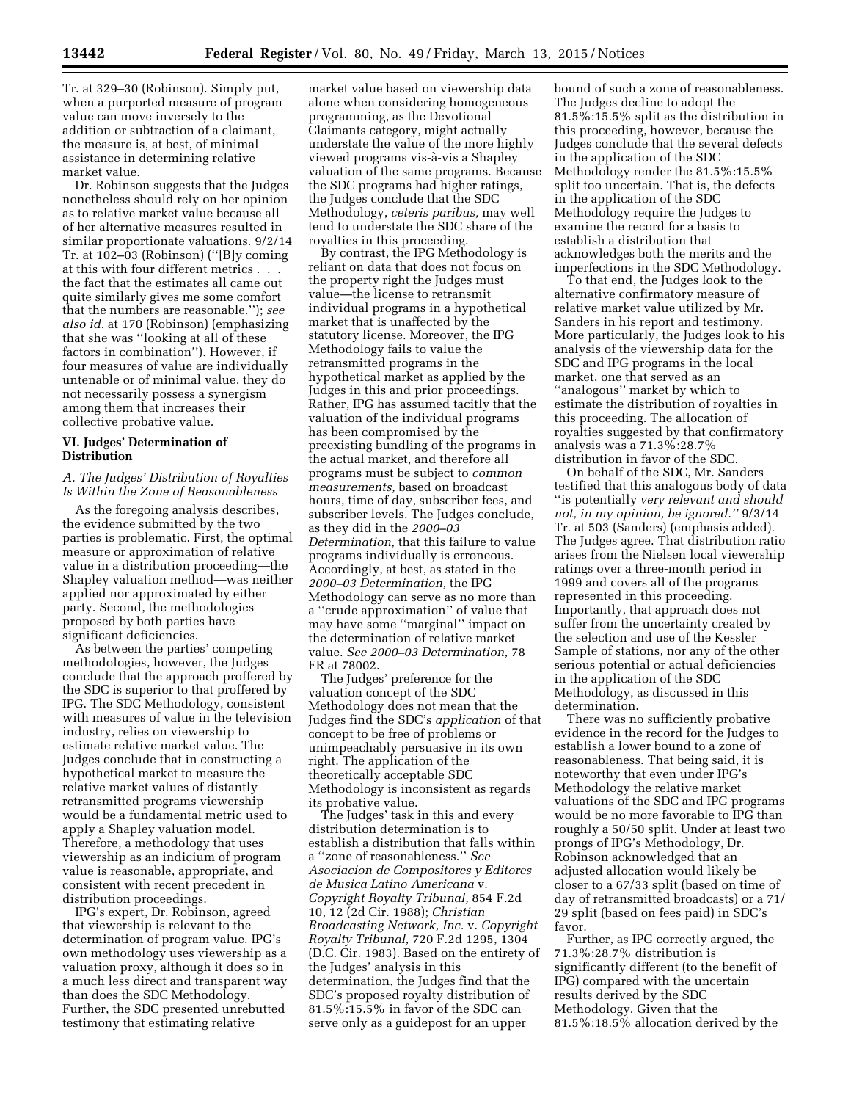Dr. Robinson suggests that the Judges nonetheless should rely on her opinion as to relative market value because all of her alternative measures resulted in similar proportionate valuations. 9/2/14 Tr. at 102–03 (Robinson) (''[B]y coming at this with four different metrics . . . the fact that the estimates all came out quite similarly gives me some comfort that the numbers are reasonable.''); *see also id.* at 170 (Robinson) (emphasizing that she was ''looking at all of these factors in combination''). However, if four measures of value are individually untenable or of minimal value, they do not necessarily possess a synergism among them that increases their collective probative value.

## **VI. Judges' Determination of Distribution**

## *A. The Judges' Distribution of Royalties Is Within the Zone of Reasonableness*

As the foregoing analysis describes, the evidence submitted by the two parties is problematic. First, the optimal measure or approximation of relative value in a distribution proceeding—the Shapley valuation method—was neither applied nor approximated by either party. Second, the methodologies proposed by both parties have significant deficiencies.

As between the parties' competing methodologies, however, the Judges conclude that the approach proffered by the SDC is superior to that proffered by IPG. The SDC Methodology, consistent with measures of value in the television industry, relies on viewership to estimate relative market value. The Judges conclude that in constructing a hypothetical market to measure the relative market values of distantly retransmitted programs viewership would be a fundamental metric used to apply a Shapley valuation model. Therefore, a methodology that uses viewership as an indicium of program value is reasonable, appropriate, and consistent with recent precedent in distribution proceedings.

IPG's expert, Dr. Robinson, agreed that viewership is relevant to the determination of program value. IPG's own methodology uses viewership as a valuation proxy, although it does so in a much less direct and transparent way than does the SDC Methodology. Further, the SDC presented unrebutted testimony that estimating relative

market value based on viewership data alone when considering homogeneous programming, as the Devotional Claimants category, might actually understate the value of the more highly viewed programs vis-à-vis a Shapley valuation of the same programs. Because the SDC programs had higher ratings, the Judges conclude that the SDC Methodology, *ceteris paribus,* may well tend to understate the SDC share of the royalties in this proceeding.

By contrast, the IPG Methodology is reliant on data that does not focus on the property right the Judges must value—the license to retransmit individual programs in a hypothetical market that is unaffected by the statutory license. Moreover, the IPG Methodology fails to value the retransmitted programs in the hypothetical market as applied by the Judges in this and prior proceedings. Rather, IPG has assumed tacitly that the valuation of the individual programs has been compromised by the preexisting bundling of the programs in the actual market, and therefore all programs must be subject to *common measurements,* based on broadcast hours, time of day, subscriber fees, and subscriber levels. The Judges conclude, as they did in the *2000–03 Determination,* that this failure to value programs individually is erroneous. Accordingly, at best, as stated in the *2000–03 Determination,* the IPG Methodology can serve as no more than a ''crude approximation'' of value that may have some ''marginal'' impact on the determination of relative market value. *See 2000–03 Determination,* 78 FR at 78002.

The Judges' preference for the valuation concept of the SDC Methodology does not mean that the Judges find the SDC's *application* of that concept to be free of problems or unimpeachably persuasive in its own right. The application of the theoretically acceptable SDC Methodology is inconsistent as regards its probative value.

The Judges' task in this and every distribution determination is to establish a distribution that falls within a ''zone of reasonableness.'' *See Asociacion de Compositores y Editores de Musica Latino Americana* v. *Copyright Royalty Tribunal,* 854 F.2d 10, 12 (2d Cir. 1988); *Christian Broadcasting Network, Inc.* v. *Copyright Royalty Tribunal,* 720 F.2d 1295, 1304 (D.C. Cir. 1983). Based on the entirety of the Judges' analysis in this determination, the Judges find that the SDC's proposed royalty distribution of 81.5%:15.5% in favor of the SDC can serve only as a guidepost for an upper

bound of such a zone of reasonableness. The Judges decline to adopt the 81.5%:15.5% split as the distribution in this proceeding, however, because the Judges conclude that the several defects in the application of the SDC Methodology render the 81.5%:15.5% split too uncertain. That is, the defects in the application of the SDC Methodology require the Judges to examine the record for a basis to establish a distribution that acknowledges both the merits and the imperfections in the SDC Methodology.

To that end, the Judges look to the alternative confirmatory measure of relative market value utilized by Mr. Sanders in his report and testimony. More particularly, the Judges look to his analysis of the viewership data for the SDC and IPG programs in the local market, one that served as an ''analogous'' market by which to estimate the distribution of royalties in this proceeding. The allocation of royalties suggested by that confirmatory analysis was a 71.3%:28.7% distribution in favor of the SDC.

On behalf of the SDC, Mr. Sanders testified that this analogous body of data ''is potentially *very relevant and should not, in my opinion, be ignored.''* 9/3/14 Tr. at 503 (Sanders) (emphasis added). The Judges agree. That distribution ratio arises from the Nielsen local viewership ratings over a three-month period in 1999 and covers all of the programs represented in this proceeding. Importantly, that approach does not suffer from the uncertainty created by the selection and use of the Kessler Sample of stations, nor any of the other serious potential or actual deficiencies in the application of the SDC Methodology, as discussed in this determination.

There was no sufficiently probative evidence in the record for the Judges to establish a lower bound to a zone of reasonableness. That being said, it is noteworthy that even under IPG's Methodology the relative market valuations of the SDC and IPG programs would be no more favorable to IPG than roughly a 50/50 split. Under at least two prongs of IPG's Methodology, Dr. Robinson acknowledged that an adjusted allocation would likely be closer to a 67/33 split (based on time of day of retransmitted broadcasts) or a 71/ 29 split (based on fees paid) in SDC's favor.

Further, as IPG correctly argued, the 71.3%:28.7% distribution is significantly different (to the benefit of IPG) compared with the uncertain results derived by the SDC Methodology. Given that the 81.5%:18.5% allocation derived by the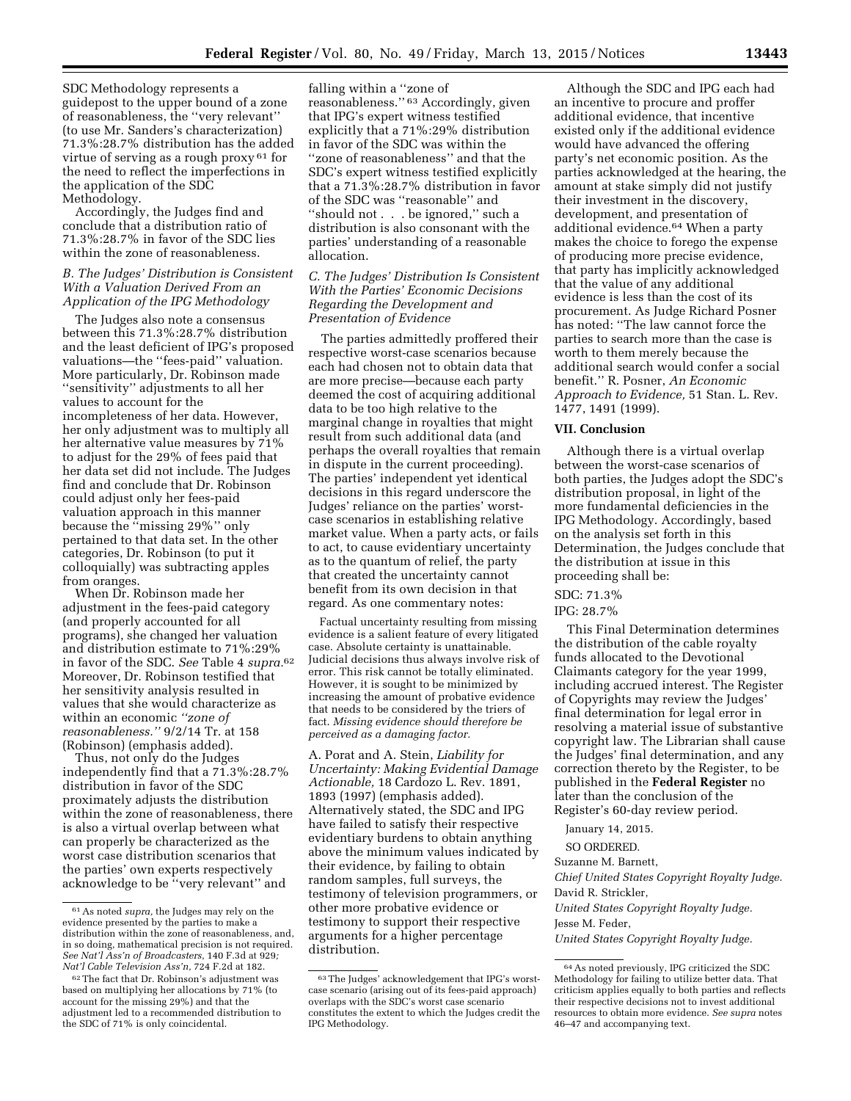SDC Methodology represents a guidepost to the upper bound of a zone of reasonableness, the ''very relevant'' (to use Mr. Sanders's characterization) 71.3%:28.7% distribution has the added virtue of serving as a rough proxy 61 for the need to reflect the imperfections in the application of the SDC Methodology.

Accordingly, the Judges find and conclude that a distribution ratio of 71.3%:28.7% in favor of the SDC lies within the zone of reasonableness.

## *B. The Judges' Distribution is Consistent With a Valuation Derived From an Application of the IPG Methodology*

The Judges also note a consensus between this 71.3%:28.7% distribution and the least deficient of IPG's proposed valuations—the ''fees-paid'' valuation. More particularly, Dr. Robinson made ''sensitivity'' adjustments to all her values to account for the incompleteness of her data. However, her only adjustment was to multiply all her alternative value measures by 71% to adjust for the 29% of fees paid that her data set did not include. The Judges find and conclude that Dr. Robinson could adjust only her fees-paid valuation approach in this manner because the ''missing 29%'' only pertained to that data set. In the other categories, Dr. Robinson (to put it colloquially) was subtracting apples from oranges.

When Dr. Robinson made her adjustment in the fees-paid category (and properly accounted for all programs), she changed her valuation and distribution estimate to 71%:29% in favor of the SDC. *See* Table 4 *supra.*62 Moreover, Dr. Robinson testified that her sensitivity analysis resulted in values that she would characterize as within an economic *''zone of reasonableness.''* 9/2/14 Tr. at 158 (Robinson) (emphasis added).

Thus, not only do the Judges independently find that a 71.3%:28.7% distribution in favor of the SDC proximately adjusts the distribution within the zone of reasonableness, there is also a virtual overlap between what can properly be characterized as the worst case distribution scenarios that the parties' own experts respectively acknowledge to be ''very relevant'' and

falling within a ''zone of reasonableness.'' 63 Accordingly, given that IPG's expert witness testified explicitly that a 71%:29% distribution in favor of the SDC was within the ''zone of reasonableness'' and that the SDC's expert witness testified explicitly that a 71.3%:28.7% distribution in favor of the SDC was ''reasonable'' and ''should not . . . be ignored,'' such a distribution is also consonant with the parties' understanding of a reasonable allocation.

## *C. The Judges' Distribution Is Consistent With the Parties' Economic Decisions Regarding the Development and Presentation of Evidence*

The parties admittedly proffered their respective worst-case scenarios because each had chosen not to obtain data that are more precise—because each party deemed the cost of acquiring additional data to be too high relative to the marginal change in royalties that might result from such additional data (and perhaps the overall royalties that remain in dispute in the current proceeding). The parties' independent yet identical decisions in this regard underscore the Judges' reliance on the parties' worstcase scenarios in establishing relative market value. When a party acts, or fails to act, to cause evidentiary uncertainty as to the quantum of relief, the party that created the uncertainty cannot benefit from its own decision in that regard. As one commentary notes:

Factual uncertainty resulting from missing evidence is a salient feature of every litigated case. Absolute certainty is unattainable. Judicial decisions thus always involve risk of error. This risk cannot be totally eliminated. However, it is sought to be minimized by increasing the amount of probative evidence that needs to be considered by the triers of fact. *Missing evidence should therefore be perceived as a damaging factor.* 

A. Porat and A. Stein, *Liability for Uncertainty: Making Evidential Damage Actionable,* 18 Cardozo L. Rev. 1891, 1893 (1997) (emphasis added). Alternatively stated, the SDC and IPG have failed to satisfy their respective evidentiary burdens to obtain anything above the minimum values indicated by their evidence, by failing to obtain random samples, full surveys, the testimony of television programmers, or other more probative evidence or testimony to support their respective arguments for a higher percentage distribution.

Although the SDC and IPG each had an incentive to procure and proffer additional evidence, that incentive existed only if the additional evidence would have advanced the offering party's net economic position. As the parties acknowledged at the hearing, the amount at stake simply did not justify their investment in the discovery, development, and presentation of additional evidence.64 When a party makes the choice to forego the expense of producing more precise evidence, that party has implicitly acknowledged that the value of any additional evidence is less than the cost of its procurement. As Judge Richard Posner has noted: ''The law cannot force the parties to search more than the case is worth to them merely because the additional search would confer a social benefit.'' R. Posner, *An Economic Approach to Evidence,* 51 Stan. L. Rev. 1477, 1491 (1999).

### **VII. Conclusion**

Although there is a virtual overlap between the worst-case scenarios of both parties, the Judges adopt the SDC's distribution proposal, in light of the more fundamental deficiencies in the IPG Methodology. Accordingly, based on the analysis set forth in this Determination, the Judges conclude that the distribution at issue in this proceeding shall be:

# SDC: 71.3%

### IPG: 28.7%

This Final Determination determines the distribution of the cable royalty funds allocated to the Devotional Claimants category for the year 1999, including accrued interest. The Register of Copyrights may review the Judges' final determination for legal error in resolving a material issue of substantive copyright law. The Librarian shall cause the Judges' final determination, and any correction thereto by the Register, to be published in the **Federal Register** no later than the conclusion of the Register's 60-day review period.

January 14, 2015.

SO ORDERED.

Suzanne M. Barnett,

*Chief United States Copyright Royalty Judge.*  David R. Strickler,

*United States Copyright Royalty Judge.*  Jesse M. Feder,

*United States Copyright Royalty Judge.* 

<sup>61</sup>As noted *supra,* the Judges may rely on the evidence presented by the parties to make a distribution within the zone of reasonableness, and, in so doing, mathematical precision is not required. *See Nat'l Ass'n of Broadcasters,* 140 F.3d at 929*; Nat'l Cable Television Ass'n,* 724 F.2d at 182.

<sup>62</sup>The fact that Dr. Robinson's adjustment was based on multiplying her allocations by 71% (to account for the missing 29%) and that the adjustment led to a recommended distribution to the SDC of 71% is only coincidental.

<sup>63</sup>The Judges' acknowledgement that IPG's worstcase scenario (arising out of its fees-paid approach) overlaps with the SDC's worst case scenario constitutes the extent to which the Judges credit the IPG Methodology.

<sup>64</sup>As noted previously, IPG criticized the SDC Methodology for failing to utilize better data. That criticism applies equally to both parties and reflects their respective decisions not to invest additional resources to obtain more evidence. *See supra* notes 46–47 and accompanying text.